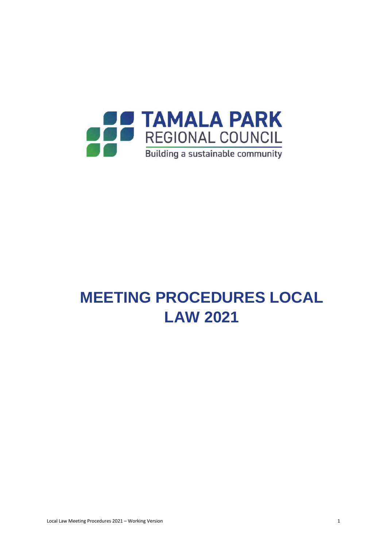

# **MEETING PROCEDURES LOCAL LAW 2021**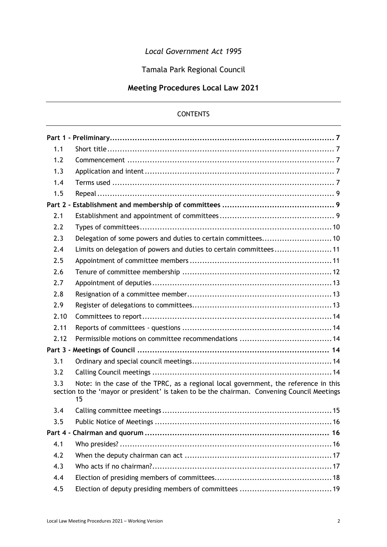# *Local Government Act 1995*

Tamala Park Regional Council

# **Meeting Procedures Local Law 2021**

# **CONTENTS**

| 1.1  |                                                                                                                                                                                           |
|------|-------------------------------------------------------------------------------------------------------------------------------------------------------------------------------------------|
| 1.2  |                                                                                                                                                                                           |
| 1.3  |                                                                                                                                                                                           |
| 1.4  |                                                                                                                                                                                           |
| 1.5  |                                                                                                                                                                                           |
|      |                                                                                                                                                                                           |
| 2.1  |                                                                                                                                                                                           |
| 2.2  |                                                                                                                                                                                           |
| 2.3  | Delegation of some powers and duties to certain committees 10                                                                                                                             |
| 2.4  | Limits on delegation of powers and duties to certain committees11                                                                                                                         |
| 2.5  |                                                                                                                                                                                           |
| 2.6  |                                                                                                                                                                                           |
| 2.7  |                                                                                                                                                                                           |
| 2.8  |                                                                                                                                                                                           |
| 2.9  |                                                                                                                                                                                           |
| 2.10 |                                                                                                                                                                                           |
| 2.11 |                                                                                                                                                                                           |
| 2.12 |                                                                                                                                                                                           |
|      |                                                                                                                                                                                           |
| 3.1  |                                                                                                                                                                                           |
| 3.2  |                                                                                                                                                                                           |
| 3.3  | Note: in the case of the TPRC, as a regional local government, the reference in this<br>section to the 'mayor or president' is taken to be the chairman. Convening Council Meetings<br>15 |
| 3.4  |                                                                                                                                                                                           |
| 3.5  |                                                                                                                                                                                           |
|      |                                                                                                                                                                                           |
| 4.1  |                                                                                                                                                                                           |
| 4.2  |                                                                                                                                                                                           |
| 4.3  |                                                                                                                                                                                           |
| 4.4  |                                                                                                                                                                                           |
| 4.5  |                                                                                                                                                                                           |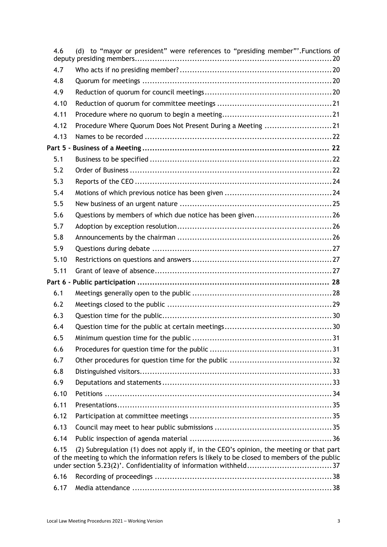| 4.6  | (d) to "mayor or president" were references to "presiding member"'. Functions of                                                                                                          |
|------|-------------------------------------------------------------------------------------------------------------------------------------------------------------------------------------------|
| 4.7  |                                                                                                                                                                                           |
| 4.8  |                                                                                                                                                                                           |
| 4.9  |                                                                                                                                                                                           |
| 4.10 |                                                                                                                                                                                           |
| 4.11 |                                                                                                                                                                                           |
| 4.12 | Procedure Where Quorum Does Not Present During a Meeting 21                                                                                                                               |
| 4.13 |                                                                                                                                                                                           |
|      |                                                                                                                                                                                           |
| 5.1  |                                                                                                                                                                                           |
| 5.2  |                                                                                                                                                                                           |
| 5.3  |                                                                                                                                                                                           |
| 5.4  |                                                                                                                                                                                           |
| 5.5  |                                                                                                                                                                                           |
| 5.6  | Questions by members of which due notice has been given26                                                                                                                                 |
| 5.7  |                                                                                                                                                                                           |
| 5.8  |                                                                                                                                                                                           |
| 5.9  |                                                                                                                                                                                           |
| 5.10 |                                                                                                                                                                                           |
| 5.11 |                                                                                                                                                                                           |
|      |                                                                                                                                                                                           |
| 6.1  |                                                                                                                                                                                           |
| 6.2  |                                                                                                                                                                                           |
| 6.3  |                                                                                                                                                                                           |
| 6.4  |                                                                                                                                                                                           |
| 6.5  |                                                                                                                                                                                           |
| 6.6  |                                                                                                                                                                                           |
| 6.7  |                                                                                                                                                                                           |
| 6.8  |                                                                                                                                                                                           |
| 6.9  |                                                                                                                                                                                           |
| 6.10 |                                                                                                                                                                                           |
| 6.11 |                                                                                                                                                                                           |
| 6.12 |                                                                                                                                                                                           |
| 6.13 |                                                                                                                                                                                           |
| 6.14 |                                                                                                                                                                                           |
| 6.15 | (2) Subregulation (1) does not apply if, in the CEO's opinion, the meeting or that part<br>of the meeting to which the information refers is likely to be closed to members of the public |
| 6.16 |                                                                                                                                                                                           |
| 6.17 |                                                                                                                                                                                           |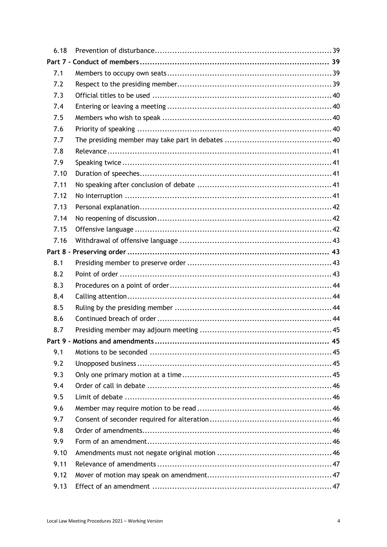| 6.18 |  |
|------|--|
|      |  |
| 7.1  |  |
| 7.2  |  |
| 7.3  |  |
| 7.4  |  |
| 7.5  |  |
| 7.6  |  |
| 7.7  |  |
| 7.8  |  |
| 7.9  |  |
| 7.10 |  |
| 7.11 |  |
| 7.12 |  |
| 7.13 |  |
| 7.14 |  |
| 7.15 |  |
| 7.16 |  |
|      |  |
| 8.1  |  |
| 8.2  |  |
| 8.3  |  |
| 8.4  |  |
| 8.5  |  |
| 8.6  |  |
| 8.7  |  |
|      |  |
| 9.1  |  |
| 9.2  |  |
| 9.3  |  |
| 9.4  |  |
| 9.5  |  |
| 9.6  |  |
| 9.7  |  |
| 9.8  |  |
| 9.9  |  |
| 9.10 |  |
| 9.11 |  |
| 9.12 |  |
| 9.13 |  |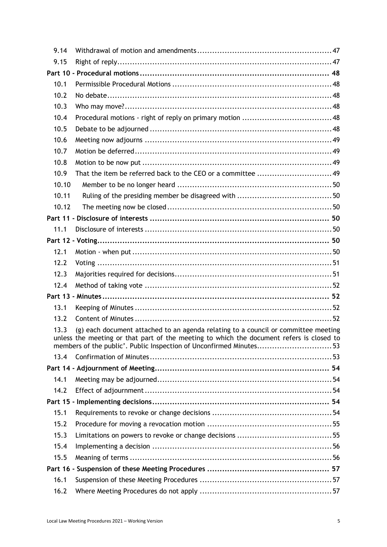| 9.14  |                                                                                                                                                                                                                                                      |
|-------|------------------------------------------------------------------------------------------------------------------------------------------------------------------------------------------------------------------------------------------------------|
| 9.15  |                                                                                                                                                                                                                                                      |
|       |                                                                                                                                                                                                                                                      |
| 10.1  |                                                                                                                                                                                                                                                      |
| 10.2  |                                                                                                                                                                                                                                                      |
| 10.3  |                                                                                                                                                                                                                                                      |
| 10.4  |                                                                                                                                                                                                                                                      |
| 10.5  |                                                                                                                                                                                                                                                      |
| 10.6  |                                                                                                                                                                                                                                                      |
| 10.7  |                                                                                                                                                                                                                                                      |
| 10.8  |                                                                                                                                                                                                                                                      |
| 10.9  |                                                                                                                                                                                                                                                      |
| 10.10 |                                                                                                                                                                                                                                                      |
| 10.11 |                                                                                                                                                                                                                                                      |
| 10.12 |                                                                                                                                                                                                                                                      |
|       |                                                                                                                                                                                                                                                      |
| 11.1  |                                                                                                                                                                                                                                                      |
|       |                                                                                                                                                                                                                                                      |
| 12.1  |                                                                                                                                                                                                                                                      |
| 12.2  |                                                                                                                                                                                                                                                      |
| 12.3  |                                                                                                                                                                                                                                                      |
| 12.4  |                                                                                                                                                                                                                                                      |
|       |                                                                                                                                                                                                                                                      |
| 13.1  |                                                                                                                                                                                                                                                      |
| 13.2  |                                                                                                                                                                                                                                                      |
| 13.3  | (g) each document attached to an agenda relating to a council or committee meeting<br>unless the meeting or that part of the meeting to which the document refers is closed to<br>members of the public'. Public Inspection of Unconfirmed Minutes53 |
| 13.4  |                                                                                                                                                                                                                                                      |
|       |                                                                                                                                                                                                                                                      |
| 14.1  |                                                                                                                                                                                                                                                      |
| 14.2  |                                                                                                                                                                                                                                                      |
|       |                                                                                                                                                                                                                                                      |
| 15.1  |                                                                                                                                                                                                                                                      |
| 15.2  |                                                                                                                                                                                                                                                      |
| 15.3  |                                                                                                                                                                                                                                                      |
| 15.4  |                                                                                                                                                                                                                                                      |
| 15.5  |                                                                                                                                                                                                                                                      |
|       |                                                                                                                                                                                                                                                      |
| 16.1  |                                                                                                                                                                                                                                                      |
| 16.2  |                                                                                                                                                                                                                                                      |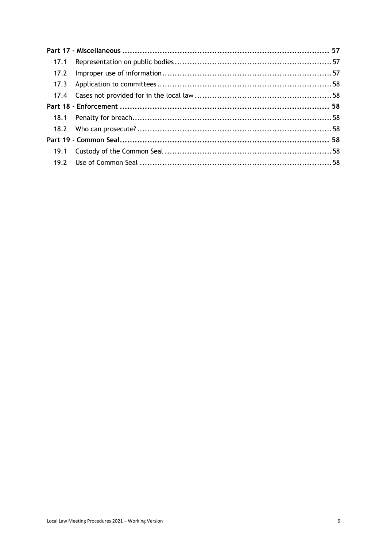| 17.1 |  |  |
|------|--|--|
| 17.2 |  |  |
|      |  |  |
|      |  |  |
|      |  |  |
|      |  |  |
|      |  |  |
|      |  |  |
|      |  |  |
|      |  |  |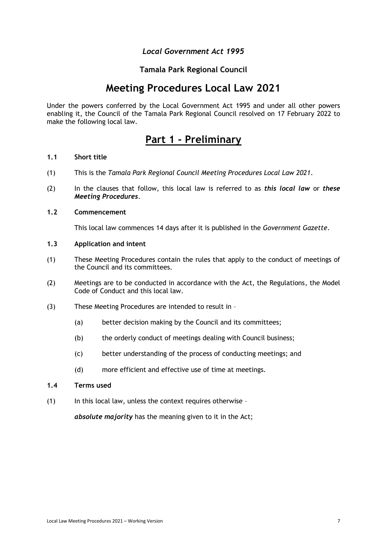# *Local Government Act 1995*

# **Tamala Park Regional Council**

# **Meeting Procedures Local Law 2021**

<span id="page-6-0"></span>Under the powers conferred by the Local Government Act 1995 and under all other powers enabling it, the Council of the Tamala Park Regional Council resolved on 17 February 2022 to make the following local law.

# **Part 1 - Preliminary**

# <span id="page-6-1"></span>**1.1 Short title**

- (1) This is the *Tamala Park Regional Council Meeting Procedures Local Law 2021*.
- (2) In the clauses that follow, this local law is referred to as *this local law* or *these Meeting Procedures*.

### <span id="page-6-2"></span>**1.2 Commencement**

This local law commences 14 days after it is published in the *Government Gazette*.

# <span id="page-6-3"></span>**1.3 Application and intent**

- (1) These Meeting Procedures contain the rules that apply to the conduct of meetings of the Council and its committees.
- (2) Meetings are to be conducted in accordance with the Act, the Regulations, the Model Code of Conduct and this local law.
- (3) These Meeting Procedures are intended to result in
	- (a) better decision making by the Council and its committees;
	- (b) the orderly conduct of meetings dealing with Council business;
	- (c) better understanding of the process of conducting meetings; and
	- (d) more efficient and effective use of time at meetings.
- <span id="page-6-4"></span>**1.4 Terms used**
- (1) In this local law, unless the context requires otherwise –

*absolute majority* has the meaning given to it in the Act;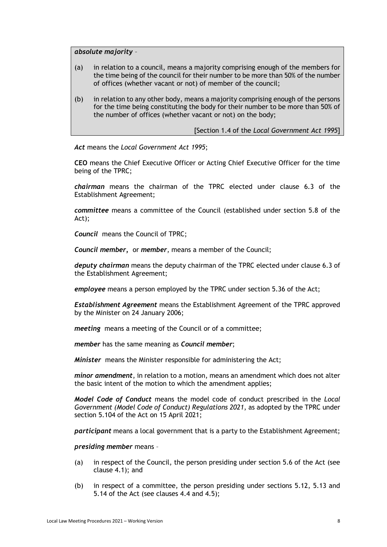*absolute majority* –

- (a) in relation to a council, means a majority comprising enough of the members for the time being of the council for their number to be more than 50% of the number of offices (whether vacant or not) of member of the council;
- (b) in relation to any other body, means a majority comprising enough of the persons for the time being constituting the body for their number to be more than 50% of the number of offices (whether vacant or not) on the body;

[Section 1.4 of the *Local Government Act 1995*]

*Act* means the *Local Government Act 1995*;

**CEO** means the Chief Executive Officer or Acting Chief Executive Officer for the time being of the TPRC;

*chairman* means the chairman of the TPRC elected under clause 6.3 of the Establishment Agreement;

*committee* means a committee of the Council (established under section 5.8 of the Act);

*Council* means the Council of TPRC;

*Council member,* or *member*, means a member of the Council;

*deputy chairman* means the deputy chairman of the TPRC elected under clause 6.3 of the Establishment Agreement;

*employee* means a person employed by the TPRC under section 5.36 of the Act;

*Establishment Agreement* means the Establishment Agreement of the TPRC approved by the Minister on 24 January 2006;

*meeting* means a meeting of the Council or of a committee;

*member* has the same meaning as *Council member*;

*Minister* means the Minister responsible for administering the Act;

*minor amendment*, in relation to a motion, means an amendment which does not alter the basic intent of the motion to which the amendment applies;

*Model Code of Conduct* means the model code of conduct prescribed in the *Local Government (Model Code of Conduct) Regulations 2021*, as adopted by the TPRC under section 5.104 of the Act on 15 April 2021;

*participant* means a local government that is a party to the Establishment Agreement;

*presiding member* means –

- (a) in respect of the Council, the person presiding under section 5.6 of the Act (see clause 4.1); and
- (b) in respect of a committee, the person presiding under sections 5.12, 5.13 and 5.14 of the Act (see clauses 4.4 and 4.5);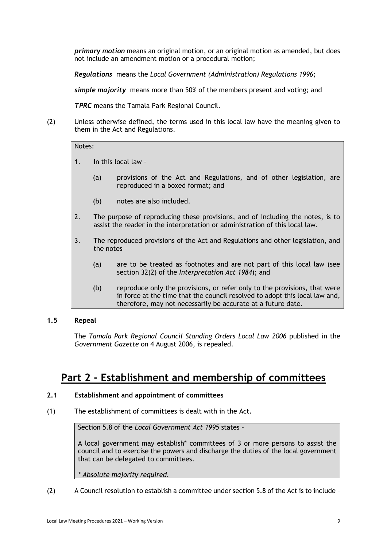*primary motion* means an original motion, or an original motion as amended, but does not include an amendment motion or a procedural motion;

*Regulations* means the *Local Government (Administration) Regulations 1996*;

*simple majority* means more than 50% of the members present and voting; and

*TPRC* means the Tamala Park Regional Council.

(2) Unless otherwise defined, the terms used in this local law have the meaning given to them in the Act and Regulations.

# Notes:

- 1. In this local law
	- (a) provisions of the Act and Regulations, and of other legislation, are reproduced in a boxed format; and
	- (b) notes are also included.
- 2. The purpose of reproducing these provisions, and of including the notes, is to assist the reader in the interpretation or administration of this local law.
- 3. The reproduced provisions of the Act and Regulations and other legislation, and the notes –
	- (a) are to be treated as footnotes and are not part of this local law (see section 32(2) of the *Interpretation Act 1984*); and
	- (b) reproduce only the provisions, or refer only to the provisions, that were in force at the time that the council resolved to adopt this local law and, therefore, may not necessarily be accurate at a future date.

# <span id="page-8-0"></span>**1.5 Repeal**

The *Tamala Park Regional Council Standing Orders Local Law 2006* published in the *Government Gazette* on 4 August 2006, is repealed.

# <span id="page-8-1"></span>**Part 2 - Establishment and membership of committees**

# <span id="page-8-2"></span>**2.1 Establishment and appointment of committees**

(1) The establishment of committees is dealt with in the Act.

Section 5.8 of the *Local Government Act 1995* states –

A local government may establish\* committees of 3 or more persons to assist the council and to exercise the powers and discharge the duties of the local government that can be delegated to committees.

*\* Absolute majority required.*

(2) A Council resolution to establish a committee under section 5.8 of the Act is to include –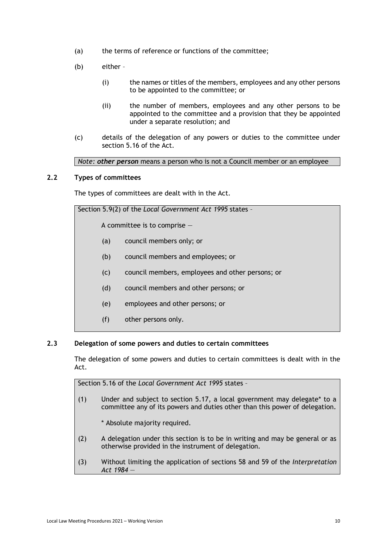- (a) the terms of reference or functions of the committee;
- (b) either
	- (i) the names or titles of the members, employees and any other persons to be appointed to the committee; or
	- (ii) the number of members, employees and any other persons to be appointed to the committee and a provision that they be appointed under a separate resolution; and
- (c) details of the delegation of any powers or duties to the committee under section 5.16 of the Act.

*Note: other person* means a person who is not a Council member or an employee

### <span id="page-9-0"></span>**2.2 Types of committees**

The types of committees are dealt with in the Act.

Section 5.9(2) of the *Local Government Act 1995* states –

A committee is to comprise —

- (a) council members only; or
- (b) council members and employees; or
- (c) council members, employees and other persons; or
- (d) council members and other persons; or
- (e) employees and other persons; or
- (f) other persons only.

#### <span id="page-9-1"></span>**2.3 Delegation of some powers and duties to certain committees**

The delegation of some powers and duties to certain committees is dealt with in the Act.

Section 5.16 of the *Local Government Act 1995* states –

- (1) Under and subject to section 5.17, a local government may delegate\* to a committee any of its powers and duties other than this power of delegation.
	- \* Absolute majority required.
- (2) A delegation under this section is to be in writing and may be general or as otherwise provided in the instrument of delegation.
- (3) Without limiting the application of sections 58 and 59 of the *Interpretation Act 1984* —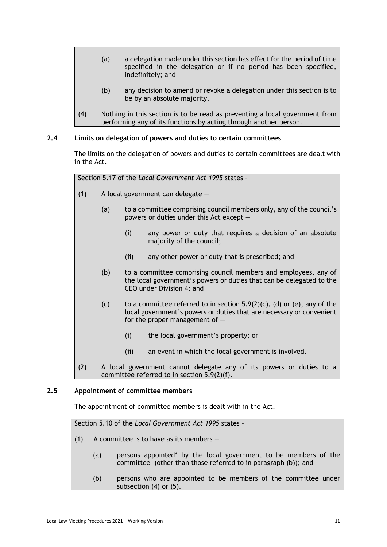- (a) a delegation made under this section has effect for the period of time specified in the delegation or if no period has been specified, indefinitely; and
- (b) any decision to amend or revoke a delegation under this section is to be by an absolute majority.
- (4) Nothing in this section is to be read as preventing a local government from performing any of its functions by acting through another person.

# <span id="page-10-0"></span>**2.4 Limits on delegation of powers and duties to certain committees**

The limits on the delegation of powers and duties to certain committees are dealt with in the Act.

Section 5.17 of the *Local Government Act 1995* states –

- (1) A local government can delegate  $-$ 
	- (a) to a committee comprising council members only, any of the council's powers or duties under this Act except —
		- (i) any power or duty that requires a decision of an absolute majority of the council;
		- (ii) any other power or duty that is prescribed; and
	- (b) to a committee comprising council members and employees, any of the local government's powers or duties that can be delegated to the CEO under Division 4; and
	- (c) to a committee referred to in section  $5.9(2)(c)$ , (d) or (e), any of the local government's powers or duties that are necessary or convenient for the proper management of  $-$ 
		- (i) the local government's property; or
		- (ii) an event in which the local government is involved.
- (2) A local government cannot delegate any of its powers or duties to a committee referred to in section 5.9(2)(f).

### <span id="page-10-1"></span>**2.5 Appointment of committee members**

The appointment of committee members is dealt with in the Act.

Section 5.10 of the *Local Government Act 1995* states –

- (1) A committee is to have as its members  $-$ 
	- (a) persons appointed\* by the local government to be members of the committee (other than those referred to in paragraph (b)); and
	- (b) persons who are appointed to be members of the committee under subsection (4) or (5).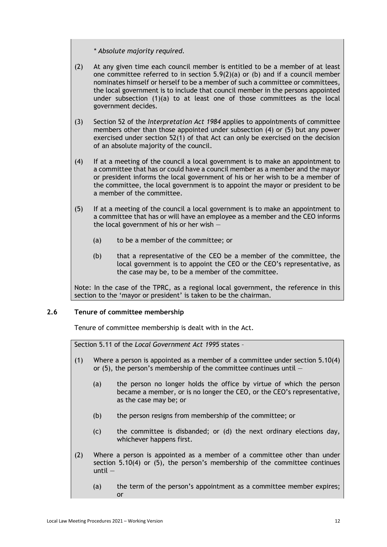*\* Absolute majority required.* 

- (2) At any given time each council member is entitled to be a member of at least one committee referred to in section  $5.9(2)(a)$  or (b) and if a council member nominates himself or herself to be a member of such a committee or committees, the local government is to include that council member in the persons appointed under subsection (1)(a) to at least one of those committees as the local government decides.
- (3) Section 52 of the *Interpretation Act 1984* applies to appointments of committee members other than those appointed under subsection (4) or (5) but any power exercised under section 52(1) of that Act can only be exercised on the decision of an absolute majority of the council.
- (4) If at a meeting of the council a local government is to make an appointment to a committee that has or could have a council member as a member and the mayor or president informs the local government of his or her wish to be a member of the committee, the local government is to appoint the mayor or president to be a member of the committee.
- (5) If at a meeting of the council a local government is to make an appointment to a committee that has or will have an employee as a member and the CEO informs the local government of his or her wish —
	- (a) to be a member of the committee; or
	- (b) that a representative of the CEO be a member of the committee, the local government is to appoint the CEO or the CEO's representative, as the case may be, to be a member of the committee.

Note: In the case of the TPRC, as a regional local government, the reference in this section to the 'mayor or president' is taken to be the chairman.

# <span id="page-11-0"></span>**2.6 Tenure of committee membership**

Tenure of committee membership is dealt with in the Act.

Section 5.11 of the *Local Government Act 1995* states –

- (1) Where a person is appointed as a member of a committee under section 5.10(4) or  $(5)$ , the person's membership of the committee continues until  $-$ 
	- (a) the person no longer holds the office by virtue of which the person became a member, or is no longer the CEO, or the CEO's representative, as the case may be; or
	- (b) the person resigns from membership of the committee; or
	- (c) the committee is disbanded; or (d) the next ordinary elections day, whichever happens first.
- (2) Where a person is appointed as a member of a committee other than under section 5.10(4) or (5), the person's membership of the committee continues until —
	- (a) the term of the person's appointment as a committee member expires; or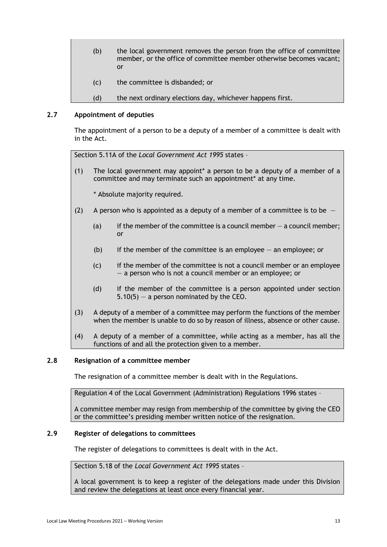- (b) the local government removes the person from the office of committee member, or the office of committee member otherwise becomes vacant; or
- (c) the committee is disbanded; or
- (d) the next ordinary elections day, whichever happens first.

# <span id="page-12-0"></span>**2.7 Appointment of deputies**

The appointment of a person to be a deputy of a member of a committee is dealt with in the Act.

Section 5.11A of the *Local Government Act 1995* states –

(1) The local government may appoint\* a person to be a deputy of a member of a committee and may terminate such an appointment\* at any time.

\* Absolute majority required.

- (2) A person who is appointed as a deputy of a member of a committee is to be
	- (a) if the member of the committee is a council member  $-$  a council member; or
	- (b) if the member of the committee is an employee  $-$  an employee; or
	- (c) if the member of the committee is not a council member or an employee — a person who is not a council member or an employee; or
	- (d) if the member of the committee is a person appointed under section  $5.10(5)$  – a person nominated by the CEO.
- (3) A deputy of a member of a committee may perform the functions of the member when the member is unable to do so by reason of illness, absence or other cause.
- (4) A deputy of a member of a committee, while acting as a member, has all the functions of and all the protection given to a member.

# <span id="page-12-1"></span>**2.8 Resignation of a committee member**

The resignation of a committee member is dealt with in the Regulations.

Regulation 4 of the Local Government (Administration) Regulations 1996 states –

A committee member may resign from membership of the committee by giving the CEO or the committee's presiding member written notice of the resignation.

# <span id="page-12-2"></span>**2.9 Register of delegations to committees**

The register of delegations to committees is dealt with in the Act.

Section 5.18 of the *Local Government Act 1995* states –

A local government is to keep a register of the delegations made under this Division and review the delegations at least once every financial year.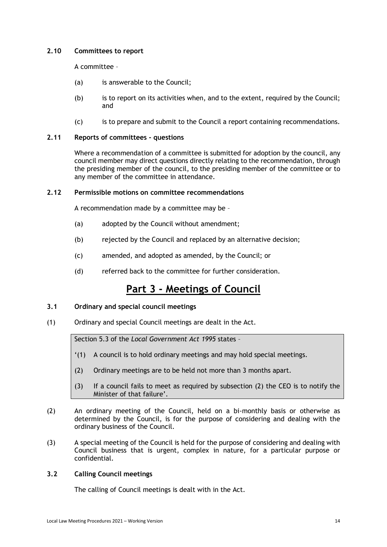# <span id="page-13-0"></span>**2.10 Committees to report**

A committee –

- (a) is answerable to the Council;
- (b) is to report on its activities when, and to the extent, required by the Council; and
- (c) is to prepare and submit to the Council a report containing recommendations.

# <span id="page-13-1"></span>**2.11 Reports of committees - questions**

Where a recommendation of a committee is submitted for adoption by the council, any council member may direct questions directly relating to the recommendation, through the presiding member of the council, to the presiding member of the committee or to any member of the committee in attendance.

# <span id="page-13-2"></span>**2.12 Permissible motions on committee recommendations**

A recommendation made by a committee may be –

- (a) adopted by the Council without amendment;
- (b) rejected by the Council and replaced by an alternative decision;
- (c) amended, and adopted as amended, by the Council; or
- (d) referred back to the committee for further consideration.

# **Part 3 - Meetings of Council**

# <span id="page-13-4"></span><span id="page-13-3"></span>**3.1 Ordinary and special council meetings**

(1) Ordinary and special Council meetings are dealt in the Act.

Section 5.3 of the *Local Government Act 1995* states –

- '(1) A council is to hold ordinary meetings and may hold special meetings.
- (2) Ordinary meetings are to be held not more than 3 months apart.
- (3) If a council fails to meet as required by subsection (2) the CEO is to notify the Minister of that failure'.
- (2) An ordinary meeting of the Council, held on a bi-monthly basis or otherwise as determined by the Council, is for the purpose of considering and dealing with the ordinary business of the Council.
- (3) A special meeting of the Council is held for the purpose of considering and dealing with Council business that is urgent, complex in nature, for a particular purpose or confidential.

# <span id="page-13-5"></span>**3.2 Calling Council meetings**

The calling of Council meetings is dealt with in the Act.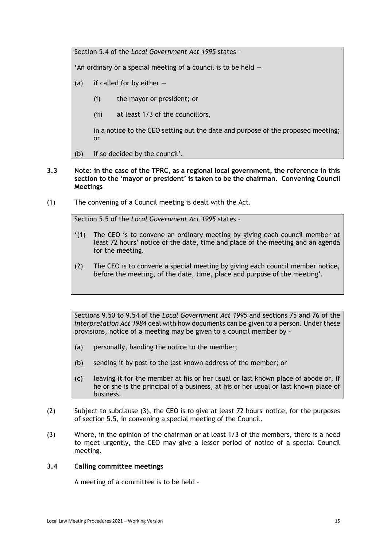Section 5.4 of the *Local Government Act 1995* states –

'An ordinary or a special meeting of a council is to be held  $-$ 

- (a) if called for by either  $-$ 
	- (i) the mayor or president; or
	- (ii) at least 1/3 of the councillors,

in a notice to the CEO setting out the date and purpose of the proposed meeting; or

(b) if so decided by the council'.

# <span id="page-14-0"></span>**3.3 Note: in the case of the TPRC, as a regional local government, the reference in this section to the 'mayor or president' is taken to be the chairman. Convening Council Meetings**

(1) The convening of a Council meeting is dealt with the Act.

Section 5.5 of the *Local Government Act 1995* states –

- '(1) The CEO is to convene an ordinary meeting by giving each council member at least 72 hours' notice of the date, time and place of the meeting and an agenda for the meeting.
- (2) The CEO is to convene a special meeting by giving each council member notice, before the meeting, of the date, time, place and purpose of the meeting'.

Sections 9.50 to 9.54 of the *Local Government Act 1995* and sections 75 and 76 of the *Interpretation Act 1984* deal with how documents can be given to a person. Under these provisions, notice of a meeting may be given to a council member by –

- (a) personally, handing the notice to the member;
- (b) sending it by post to the last known address of the member; or
- (c) leaving it for the member at his or her usual or last known place of abode or, if he or she is the principal of a business, at his or her usual or last known place of business.
- (2) Subject to subclause (3), the CEO is to give at least 72 hours' notice, for the purposes of section 5.5, in convening a special meeting of the Council.
- (3) Where, in the opinion of the chairman or at least 1/3 of the members, there is a need to meet urgently, the CEO may give a lesser period of notice of a special Council meeting.

# <span id="page-14-1"></span>**3.4 Calling committee meetings**

A meeting of a committee is to be held -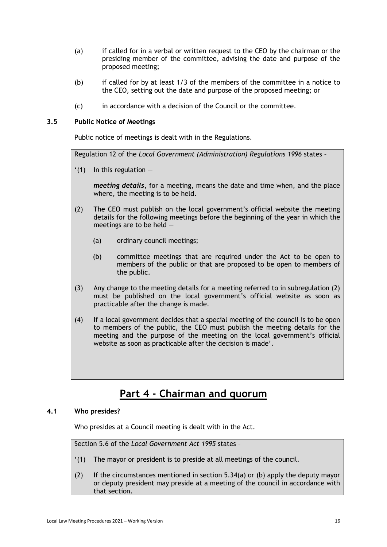- (a) if called for in a verbal or written request to the CEO by the chairman or the presiding member of the committee, advising the date and purpose of the proposed meeting;
- (b) if called for by at least 1/3 of the members of the committee in a notice to the CEO, setting out the date and purpose of the proposed meeting; or
- (c) in accordance with a decision of the Council or the committee.

# <span id="page-15-0"></span>**3.5 Public Notice of Meetings**

Public notice of meetings is dealt with in the Regulations.

Regulation 12 of the *Local Government (Administration) Regulations 1996* states –

 $'(1)$  In this regulation  $-$ 

*meeting details*, for a meeting, means the date and time when, and the place where, the meeting is to be held.

- (2) The CEO must publish on the local government's official website the meeting details for the following meetings before the beginning of the year in which the meetings are to be held —
	- (a) ordinary council meetings;
	- (b) committee meetings that are required under the Act to be open to members of the public or that are proposed to be open to members of the public.
- (3) Any change to the meeting details for a meeting referred to in subregulation (2) must be published on the local government's official website as soon as practicable after the change is made.
- (4) If a local government decides that a special meeting of the council is to be open to members of the public, the CEO must publish the meeting details for the meeting and the purpose of the meeting on the local government's official website as soon as practicable after the decision is made'.

# **Part 4 - Chairman and quorum**

# <span id="page-15-2"></span><span id="page-15-1"></span>**4.1 Who presides?**

Who presides at a Council meeting is dealt with in the Act.

Section 5.6 of the *Local Government Act 1995* states –

- '(1) The mayor or president is to preside at all meetings of the council.
- (2) If the circumstances mentioned in section 5.34(a) or (b) apply the deputy mayor or deputy president may preside at a meeting of the council in accordance with that section.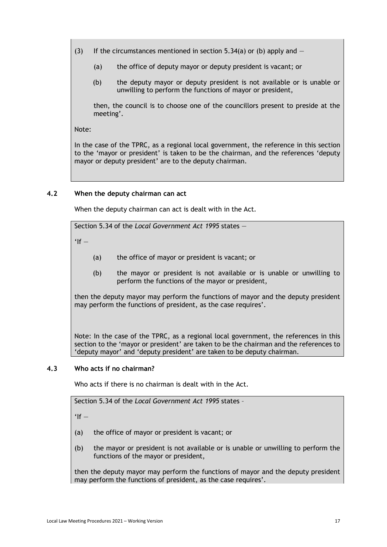(3) If the circumstances mentioned in section 5.34(a) or (b) apply and  $-$ 

- (a) the office of deputy mayor or deputy president is vacant; or
- (b) the deputy mayor or deputy president is not available or is unable or unwilling to perform the functions of mayor or president,

then, the council is to choose one of the councillors present to preside at the meeting'.

Note:

In the case of the TPRC, as a regional local government, the reference in this section to the 'mayor or president' is taken to be the chairman, and the references 'deputy mayor or deputy president' are to the deputy chairman.

# <span id="page-16-0"></span>**4.2 When the deputy chairman can act**

When the deputy chairman can act is dealt with in the Act.

Section 5.34 of the *Local Government Act 1995* states —

 $'$ If  $-$ 

- (a) the office of mayor or president is vacant; or
- (b) the mayor or president is not available or is unable or unwilling to perform the functions of the mayor or president,

then the deputy mayor may perform the functions of mayor and the deputy president may perform the functions of president, as the case requires'.

Note: In the case of the TPRC, as a regional local government, the references in this section to the 'mayor or president' are taken to be the chairman and the references to 'deputy mayor' and 'deputy president' are taken to be deputy chairman.

# <span id="page-16-1"></span>**4.3 Who acts if no chairman?**

Who acts if there is no chairman is dealt with in the Act.

Section 5.34 of the *Local Government Act 1995* states –

 $'$ If  $-$ 

- (a) the office of mayor or president is vacant; or
- (b) the mayor or president is not available or is unable or unwilling to perform the functions of the mayor or president,

then the deputy mayor may perform the functions of mayor and the deputy president may perform the functions of president, as the case requires'.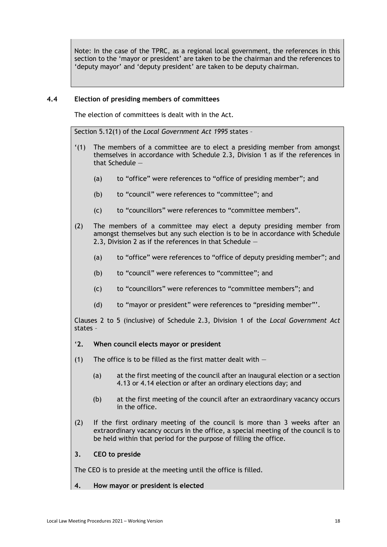Note: In the case of the TPRC, as a regional local government, the references in this section to the 'mayor or president' are taken to be the chairman and the references to 'deputy mayor' and 'deputy president' are taken to be deputy chairman.

# <span id="page-17-0"></span>**4.4 Election of presiding members of committees**

The election of committees is dealt with in the Act.

Section 5.12(1) of the *Local Government Act 1995* states –

- '(1) The members of a committee are to elect a presiding member from amongst themselves in accordance with Schedule 2.3, Division 1 as if the references in that Schedule —
	- (a) to "office" were references to "office of presiding member"; and
	- (b) to "council" were references to "committee"; and
	- (c) to "councillors" were references to "committee members".
- (2) The members of a committee may elect a deputy presiding member from amongst themselves but any such election is to be in accordance with Schedule 2.3, Division 2 as if the references in that Schedule —
	- (a) to "office" were references to "office of deputy presiding member"; and
	- (b) to "council" were references to "committee"; and
	- (c) to "councillors" were references to "committee members"; and
	- (d) to "mayor or president" were references to "presiding member"'.

Clauses 2 to 5 (inclusive) of Schedule 2.3, Division 1 of the *Local Government Act*  states –

- '**2. When council elects mayor or president**
- (1) The office is to be filled as the first matter dealt with  $-$ 
	- (a) at the first meeting of the council after an inaugural election or a section 4.13 or 4.14 election or after an ordinary elections day; and
	- (b) at the first meeting of the council after an extraordinary vacancy occurs in the office.
- (2) If the first ordinary meeting of the council is more than 3 weeks after an extraordinary vacancy occurs in the office, a special meeting of the council is to be held within that period for the purpose of filling the office.

# **3. CEO to preside**

The CEO is to preside at the meeting until the office is filled.

# **4. How mayor or president is elected**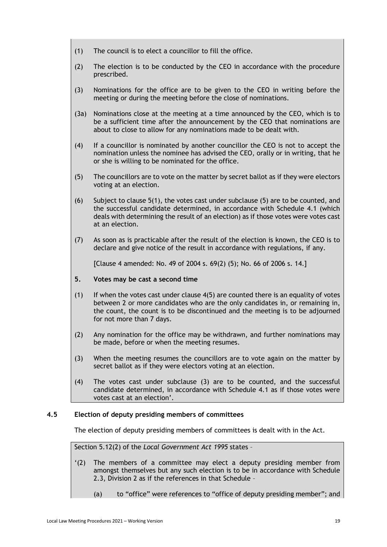- (1) The council is to elect a councillor to fill the office.
- (2) The election is to be conducted by the CEO in accordance with the procedure prescribed.
- (3) Nominations for the office are to be given to the CEO in writing before the meeting or during the meeting before the close of nominations.
- (3a) Nominations close at the meeting at a time announced by the CEO, which is to be a sufficient time after the announcement by the CEO that nominations are about to close to allow for any nominations made to be dealt with.
- (4) If a councillor is nominated by another councillor the CEO is not to accept the nomination unless the nominee has advised the CEO, orally or in writing, that he or she is willing to be nominated for the office.
- (5) The councillors are to vote on the matter by secret ballot as if they were electors voting at an election.
- (6) Subject to clause 5(1), the votes cast under subclause (5) are to be counted, and the successful candidate determined, in accordance with Schedule 4.1 (which deals with determining the result of an election) as if those votes were votes cast at an election.
- (7) As soon as is practicable after the result of the election is known, the CEO is to declare and give notice of the result in accordance with regulations, if any.

[Clause 4 amended: No. 49 of 2004 s. 69(2) (5); No. 66 of 2006 s. 14.]

# **5. Votes may be cast a second time**

- $(1)$  If when the votes cast under clause  $4(5)$  are counted there is an equality of votes between 2 or more candidates who are the only candidates in, or remaining in, the count, the count is to be discontinued and the meeting is to be adjourned for not more than 7 days.
- (2) Any nomination for the office may be withdrawn, and further nominations may be made, before or when the meeting resumes.
- (3) When the meeting resumes the councillors are to vote again on the matter by secret ballot as if they were electors voting at an election.
- (4) The votes cast under subclause (3) are to be counted, and the successful candidate determined, in accordance with Schedule 4.1 as if those votes were votes cast at an election'.

# <span id="page-18-0"></span>**4.5 Election of deputy presiding members of committees**

The election of deputy presiding members of committees is dealt with in the Act.

Section 5.12(2) of the *Local Government Act 1995* states –

- '(2) The members of a committee may elect a deputy presiding member from amongst themselves but any such election is to be in accordance with Schedule 2.3, Division 2 as if the references in that Schedule –
	- (a) to "office" were references to "office of deputy presiding member"; and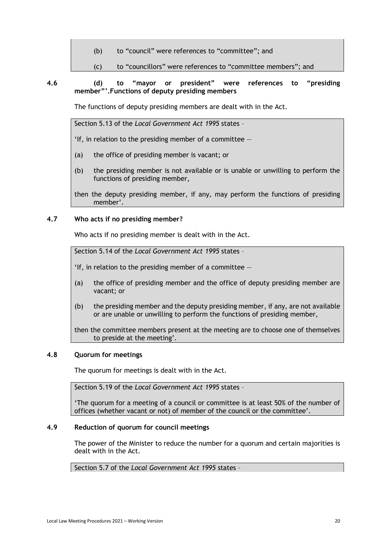(b) to "council" were references to "committee"; and

<span id="page-19-0"></span>(c) to "councillors" were references to "committee members"; and

# **4.6 (d) to "mayor or president" were references to "presiding member"'.Functions of deputy presiding members**

The functions of deputy presiding members are dealt with in the Act.

Section 5.13 of the *Local Government Act 1995* states –

'If, in relation to the presiding member of a committee  $-$ 

- (a) the office of presiding member is vacant; or
- (b) the presiding member is not available or is unable or unwilling to perform the functions of presiding member,

then the deputy presiding member, if any, may perform the functions of presiding member'.

# <span id="page-19-1"></span>**4.7 Who acts if no presiding member?**

Who acts if no presiding member is dealt with in the Act.

Section 5.14 of the *Local Government Act 1995* states –

'If, in relation to the presiding member of a committee  $-$ 

- (a) the office of presiding member and the office of deputy presiding member are vacant; or
- (b) the presiding member and the deputy presiding member, if any, are not available or are unable or unwilling to perform the functions of presiding member,

then the committee members present at the meeting are to choose one of themselves to preside at the meeting'.

# <span id="page-19-2"></span>**4.8 Quorum for meetings**

The quorum for meetings is dealt with in the Act.

Section 5.19 of the *Local Government Act 1995* states –

'The quorum for a meeting of a council or committee is at least 50% of the number of offices (whether vacant or not) of member of the council or the committee'.

# <span id="page-19-3"></span>**4.9 Reduction of quorum for council meetings**

The power of the Minister to reduce the number for a quorum and certain majorities is dealt with in the Act.

Section 5.7 of the *Local Government Act 1995* states –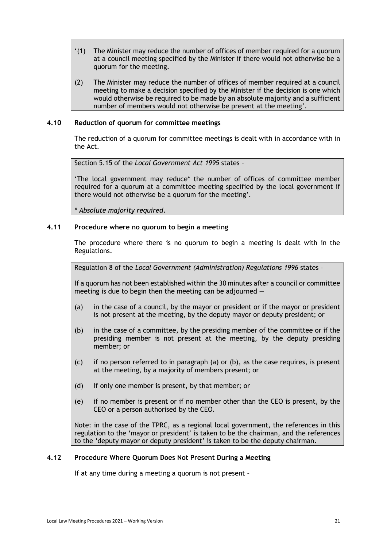- '(1) The Minister may reduce the number of offices of member required for a quorum at a council meeting specified by the Minister if there would not otherwise be a quorum for the meeting.
- (2) The Minister may reduce the number of offices of member required at a council meeting to make a decision specified by the Minister if the decision is one which would otherwise be required to be made by an absolute majority and a sufficient number of members would not otherwise be present at the meeting'.

# <span id="page-20-0"></span>**4.10 Reduction of quorum for committee meetings**

The reduction of a quorum for committee meetings is dealt with in accordance with in the Act.

Section 5.15 of the *Local Government Act 1995* states –

'The local government may reduce\* the number of offices of committee member required for a quorum at a committee meeting specified by the local government if there would not otherwise be a quorum for the meeting'.

*\* Absolute majority required*.

# <span id="page-20-1"></span>**4.11 Procedure where no quorum to begin a meeting**

The procedure where there is no quorum to begin a meeting is dealt with in the Regulations.

Regulation 8 of the *Local Government (Administration) Regulations 1996* states –

If a quorum has not been established within the 30 minutes after a council or committee meeting is due to begin then the meeting can be adjourned —

- (a) in the case of a council, by the mayor or president or if the mayor or president is not present at the meeting, by the deputy mayor or deputy president; or
- (b) in the case of a committee, by the presiding member of the committee or if the presiding member is not present at the meeting, by the deputy presiding member; or
- (c) if no person referred to in paragraph (a) or (b), as the case requires, is present at the meeting, by a majority of members present; or
- (d) if only one member is present, by that member; or
- (e) if no member is present or if no member other than the CEO is present, by the CEO or a person authorised by the CEO.

Note: in the case of the TPRC, as a regional local government, the references in this regulation to the 'mayor or president' is taken to be the chairman, and the references to the 'deputy mayor or deputy president' is taken to be the deputy chairman.

# <span id="page-20-2"></span>**4.12 Procedure Where Quorum Does Not Present During a Meeting**

If at any time during a meeting a quorum is not present –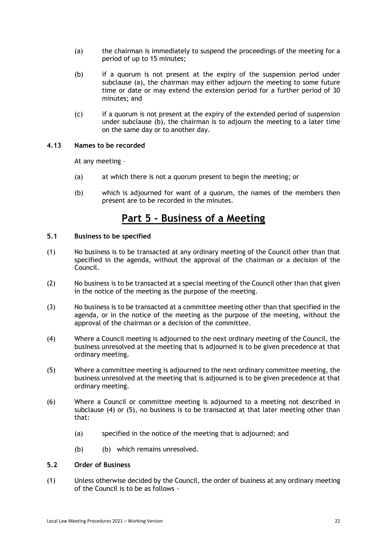- (a) the chairman is immediately to suspend the proceedings of the meeting for a period of up to 15 minutes;
- (b) if a quorum is not present at the expiry of the suspension period under subclause (a), the chairman may either adjourn the meeting to some future time or date or may extend the extension period for a further period of 30 minutes; and
- (c) if a quorum is not present at the expiry of the extended period of suspension under subclause (b), the chairman is to adjourn the meeting to a later time on the same day or to another day.

# <span id="page-21-0"></span>**4.13 Names to be recorded**

At any meeting –

- (a) at which there is not a quorum present to begin the meeting; or
- (b) which is adjourned for want of a quorum, the names of the members then present are to be recorded in the minutes.

# **Part 5 - Business of a Meeting**

# <span id="page-21-2"></span><span id="page-21-1"></span>**5.1 Business to be specified**

- (1) No business is to be transacted at any ordinary meeting of the Council other than that specified in the agenda, without the approval of the chairman or a decision of the Council.
- (2) No business is to be transacted at a special meeting of the Council other than that given in the notice of the meeting as the purpose of the meeting.
- (3) No business is to be transacted at a committee meeting other than that specified in the agenda, or in the notice of the meeting as the purpose of the meeting, without the approval of the chairman or a decision of the committee.
- (4) Where a Council meeting is adjourned to the next ordinary meeting of the Council, the business unresolved at the meeting that is adjourned is to be given precedence at that ordinary meeting.
- (5) Where a committee meeting is adjourned to the next ordinary committee meeting, the business unresolved at the meeting that is adjourned is to be given precedence at that ordinary meeting.
- (6) Where a Council or committee meeting is adjourned to a meeting not described in subclause (4) or (5), no business is to be transacted at that later meeting other than that:
	- (a) specified in the notice of the meeting that is adjourned; and
	- (b) (b) which remains unresolved.

# <span id="page-21-3"></span>**5.2 Order of Business**

(1) Unless otherwise decided by the Council, the order of business at any ordinary meeting of the Council is to be as follows -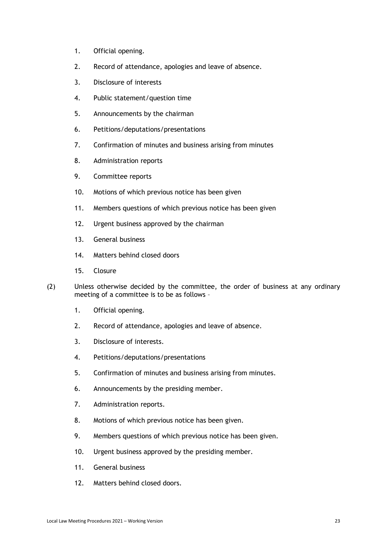- 1. Official opening.
- 2. Record of attendance, apologies and leave of absence.
- 3. Disclosure of interests
- 4. Public statement/question time
- 5. Announcements by the chairman
- 6. Petitions/deputations/presentations
- 7. Confirmation of minutes and business arising from minutes
- 8. Administration reports
- 9. Committee reports
- 10. Motions of which previous notice has been given
- 11. Members questions of which previous notice has been given
- 12. Urgent business approved by the chairman
- 13. General business
- 14. Matters behind closed doors
- 15. Closure
- (2) Unless otherwise decided by the committee, the order of business at any ordinary meeting of a committee is to be as follows –
	- 1. Official opening.
	- 2. Record of attendance, apologies and leave of absence.
	- 3. Disclosure of interests.
	- 4. Petitions/deputations/presentations
	- 5. Confirmation of minutes and business arising from minutes.
	- 6. Announcements by the presiding member.
	- 7. Administration reports.
	- 8. Motions of which previous notice has been given.
	- 9. Members questions of which previous notice has been given.
	- 10. Urgent business approved by the presiding member.
	- 11. General business
	- 12. Matters behind closed doors.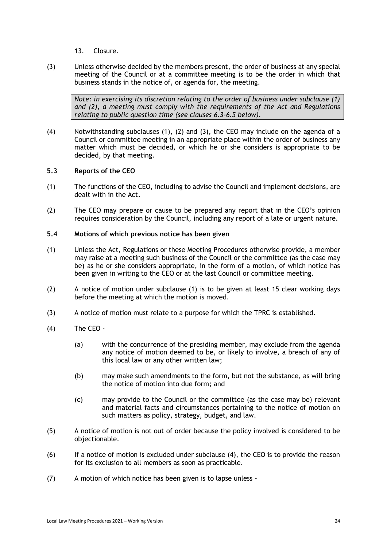- 13. Closure.
- (3) Unless otherwise decided by the members present, the order of business at any special meeting of the Council or at a committee meeting is to be the order in which that business stands in the notice of, or agenda for, the meeting.

*Note: in exercising its discretion relating to the order of business under subclause (1) and (2), a meeting must comply with the requirements of the Act and Regulations relating to public question time (see clauses 6.3-6.5 below).* 

(4) Notwithstanding subclauses (1), (2) and (3), the CEO may include on the agenda of a Council or committee meeting in an appropriate place within the order of business any matter which must be decided, or which he or she considers is appropriate to be decided, by that meeting.

# <span id="page-23-0"></span>**5.3 Reports of the CEO**

- (1) The functions of the CEO, including to advise the Council and implement decisions, are dealt with in the Act.
- (2) The CEO may prepare or cause to be prepared any report that in the CEO's opinion requires consideration by the Council, including any report of a late or urgent nature.
- <span id="page-23-1"></span>**5.4 Motions of which previous notice has been given**
- (1) Unless the Act, Regulations or these Meeting Procedures otherwise provide, a member may raise at a meeting such business of the Council or the committee (as the case may be) as he or she considers appropriate, in the form of a motion, of which notice has been given in writing to the CEO or at the last Council or committee meeting.
- (2) A notice of motion under subclause (1) is to be given at least 15 clear working days before the meeting at which the motion is moved.
- (3) A notice of motion must relate to a purpose for which the TPRC is established.
- (4) The CEO
	- (a) with the concurrence of the presiding member, may exclude from the agenda any notice of motion deemed to be, or likely to involve, a breach of any of this local law or any other written law;
	- (b) may make such amendments to the form, but not the substance, as will bring the notice of motion into due form; and
	- (c) may provide to the Council or the committee (as the case may be) relevant and material facts and circumstances pertaining to the notice of motion on such matters as policy, strategy, budget, and law.
- (5) A notice of motion is not out of order because the policy involved is considered to be objectionable.
- (6) If a notice of motion is excluded under subclause (4), the CEO is to provide the reason for its exclusion to all members as soon as practicable.
- (7) A motion of which notice has been given is to lapse unless -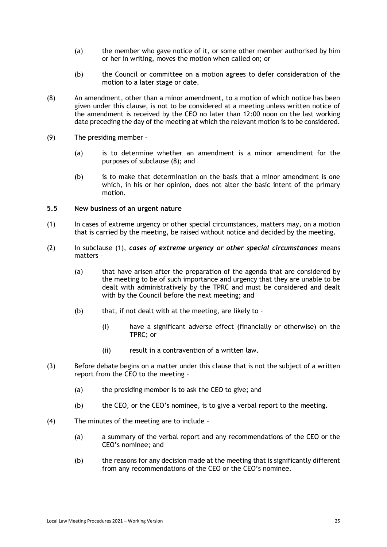- (a) the member who gave notice of it, or some other member authorised by him or her in writing, moves the motion when called on; or
- (b) the Council or committee on a motion agrees to defer consideration of the motion to a later stage or date.
- (8) An amendment, other than a minor amendment, to a motion of which notice has been given under this clause, is not to be considered at a meeting unless written notice of the amendment is received by the CEO no later than 12:00 noon on the last working date preceding the day of the meeting at which the relevant motion is to be considered.
- (9) The presiding member
	- (a) is to determine whether an amendment is a minor amendment for the purposes of subclause (8); and
	- (b) is to make that determination on the basis that a minor amendment is one which, in his or her opinion, does not alter the basic intent of the primary motion.

### <span id="page-24-0"></span>**5.5 New business of an urgent nature**

- (1) In cases of extreme urgency or other special circumstances, matters may, on a motion that is carried by the meeting, be raised without notice and decided by the meeting.
- (2) In subclause (1), *cases of extreme urgency or other special circumstances* means matters –
	- (a) that have arisen after the preparation of the agenda that are considered by the meeting to be of such importance and urgency that they are unable to be dealt with administratively by the TPRC and must be considered and dealt with by the Council before the next meeting; and
	- (b) that, if not dealt with at the meeting, are likely to  $-$ 
		- (i) have a significant adverse effect (financially or otherwise) on the TPRC; or
		- (ii) result in a contravention of a written law.
- (3) Before debate begins on a matter under this clause that is not the subject of a written report from the CEO to the meeting –
	- (a) the presiding member is to ask the CEO to give; and
	- (b) the CEO, or the CEO's nominee, is to give a verbal report to the meeting.
- (4) The minutes of the meeting are to include
	- (a) a summary of the verbal report and any recommendations of the CEO or the CEO's nominee; and
	- (b) the reasons for any decision made at the meeting that is significantly different from any recommendations of the CEO or the CEO's nominee.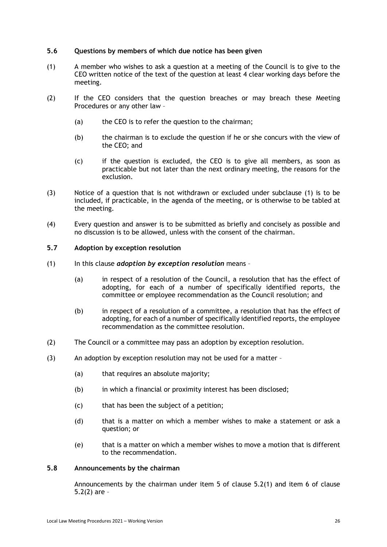# <span id="page-25-0"></span>**5.6 Questions by members of which due notice has been given**

- (1) A member who wishes to ask a question at a meeting of the Council is to give to the CEO written notice of the text of the question at least 4 clear working days before the meeting.
- (2) If the CEO considers that the question breaches or may breach these Meeting Procedures or any other law –
	- (a) the CEO is to refer the question to the chairman;
	- (b) the chairman is to exclude the question if he or she concurs with the view of the CEO; and
	- (c) if the question is excluded, the CEO is to give all members, as soon as practicable but not later than the next ordinary meeting, the reasons for the exclusion.
- (3) Notice of a question that is not withdrawn or excluded under subclause (1) is to be included, if practicable, in the agenda of the meeting, or is otherwise to be tabled at the meeting.
- (4) Every question and answer is to be submitted as briefly and concisely as possible and no discussion is to be allowed, unless with the consent of the chairman.

### <span id="page-25-1"></span>**5.7 Adoption by exception resolution**

- (1) In this clause *adoption by exception resolution* means
	- (a) in respect of a resolution of the Council, a resolution that has the effect of adopting, for each of a number of specifically identified reports, the committee or employee recommendation as the Council resolution; and
	- (b) in respect of a resolution of a committee, a resolution that has the effect of adopting, for each of a number of specifically identified reports, the employee recommendation as the committee resolution.
- (2) The Council or a committee may pass an adoption by exception resolution.
- (3) An adoption by exception resolution may not be used for a matter
	- (a) that requires an absolute majority;
	- (b) in which a financial or proximity interest has been disclosed;
	- (c) that has been the subject of a petition;
	- (d) that is a matter on which a member wishes to make a statement or ask a question; or
	- (e) that is a matter on which a member wishes to move a motion that is different to the recommendation.

# <span id="page-25-2"></span>**5.8 Announcements by the chairman**

Announcements by the chairman under item 5 of clause 5.2(1) and item 6 of clause 5.2(2) are –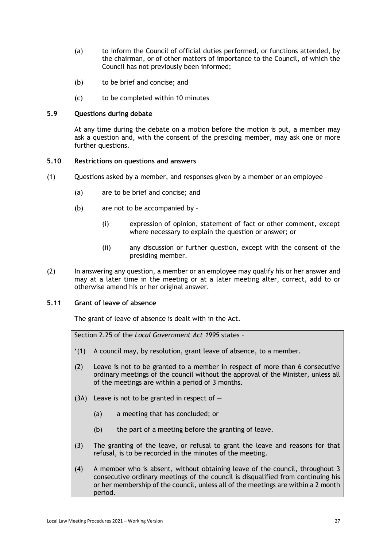- (a) to inform the Council of official duties performed, or functions attended, by the chairman, or of other matters of importance to the Council, of which the Council has not previously been informed;
- (b) to be brief and concise; and
- (c) to be completed within 10 minutes

# <span id="page-26-0"></span>**5.9 Questions during debate**

At any time during the debate on a motion before the motion is put, a member may ask a question and, with the consent of the presiding member, may ask one or more further questions.

### <span id="page-26-1"></span>**5.10 Restrictions on questions and answers**

- (1) Questions asked by a member, and responses given by a member or an employee
	- (a) are to be brief and concise; and
	- (b) are not to be accompanied by
		- (i) expression of opinion, statement of fact or other comment, except where necessary to explain the question or answer; or
		- (ii) any discussion or further question, except with the consent of the presiding member.
- (2) In answering any question, a member or an employee may qualify his or her answer and may at a later time in the meeting or at a later meeting alter, correct, add to or otherwise amend his or her original answer.

# <span id="page-26-2"></span>**5.11 Grant of leave of absence**

The grant of leave of absence is dealt with in the Act.

Section 2.25 of the *Local Government Act 1995* states –

- '(1) A council may, by resolution, grant leave of absence, to a member.
- (2) Leave is not to be granted to a member in respect of more than 6 consecutive ordinary meetings of the council without the approval of the Minister, unless all of the meetings are within a period of 3 months.
- (3A) Leave is not to be granted in respect of  $-$ 
	- (a) a meeting that has concluded; or
	- (b) the part of a meeting before the granting of leave.
- (3) The granting of the leave, or refusal to grant the leave and reasons for that refusal, is to be recorded in the minutes of the meeting.
- (4) A member who is absent, without obtaining leave of the council, throughout 3 consecutive ordinary meetings of the council is disqualified from continuing his or her membership of the council, unless all of the meetings are within a 2 month period.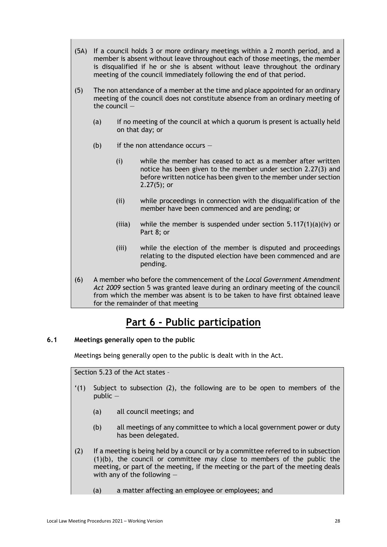- (5A) If a council holds 3 or more ordinary meetings within a 2 month period, and a member is absent without leave throughout each of those meetings, the member is disqualified if he or she is absent without leave throughout the ordinary meeting of the council immediately following the end of that period.
- (5) The non attendance of a member at the time and place appointed for an ordinary meeting of the council does not constitute absence from an ordinary meeting of the council —
	- (a) if no meeting of the council at which a quorum is present is actually held on that day; or
	- (b) if the non attendance occurs  $-$ 
		- (i) while the member has ceased to act as a member after written notice has been given to the member under section 2.27(3) and before written notice has been given to the member under section 2.27(5); or
		- (ii) while proceedings in connection with the disqualification of the member have been commenced and are pending; or
		- (iiia) while the member is suspended under section  $5.117(1)(a)(iv)$  or Part 8; or
		- (iii) while the election of the member is disputed and proceedings relating to the disputed election have been commenced and are pending.
- (6) A member who before the commencement of the *Local Government Amendment Act 2009* section 5 was granted leave during an ordinary meeting of the council from which the member was absent is to be taken to have first obtained leave for the remainder of that meeting

# **Part 6 - Public participation**

# <span id="page-27-1"></span><span id="page-27-0"></span>**6.1 Meetings generally open to the public**

Meetings being generally open to the public is dealt with in the Act.

Section 5.23 of the Act states –

- '(1) Subject to subsection (2), the following are to be open to members of the public —
	- (a) all council meetings; and
	- (b) all meetings of any committee to which a local government power or duty has been delegated.
- (2) If a meeting is being held by a council or by a committee referred to in subsection (1)(b), the council or committee may close to members of the public the meeting, or part of the meeting, if the meeting or the part of the meeting deals with any of the following —
	- (a) a matter affecting an employee or employees; and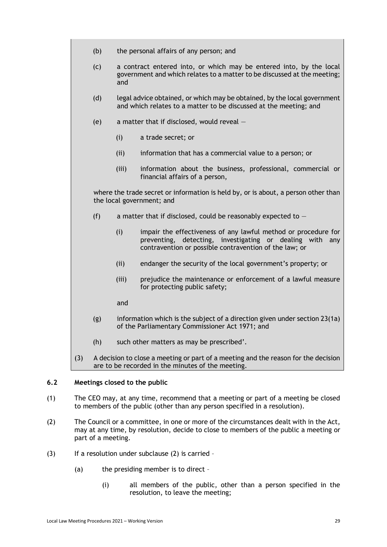- (b) the personal affairs of any person; and
- (c) a contract entered into, or which may be entered into, by the local government and which relates to a matter to be discussed at the meeting; and
- (d) legal advice obtained, or which may be obtained, by the local government and which relates to a matter to be discussed at the meeting; and
- (e) a matter that if disclosed, would reveal
	- (i) a trade secret; or
	- (ii) information that has a commercial value to a person; or
	- (iii) information about the business, professional, commercial or financial affairs of a person,

where the trade secret or information is held by, or is about, a person other than the local government; and

- (f) a matter that if disclosed, could be reasonably expected to  $-$ 
	- (i) impair the effectiveness of any lawful method or procedure for preventing, detecting, investigating or dealing with any contravention or possible contravention of the law; or
	- (ii) endanger the security of the local government's property; or
	- (iii) prejudice the maintenance or enforcement of a lawful measure for protecting public safety;

and

- (g) information which is the subject of a direction given under section 23(1a) of the Parliamentary Commissioner Act 1971; and
- (h) such other matters as may be prescribed'.
- (3) A decision to close a meeting or part of a meeting and the reason for the decision are to be recorded in the minutes of the meeting.

# <span id="page-28-0"></span>**6.2 Meetings closed to the public**

- (1) The CEO may, at any time, recommend that a meeting or part of a meeting be closed to members of the public (other than any person specified in a resolution).
- (2) The Council or a committee, in one or more of the circumstances dealt with in the Act, may at any time, by resolution, decide to close to members of the public a meeting or part of a meeting.
- $(3)$  If a resolution under subclause  $(2)$  is carried
	- (a) the presiding member is to direct
		- (i) all members of the public, other than a person specified in the resolution, to leave the meeting;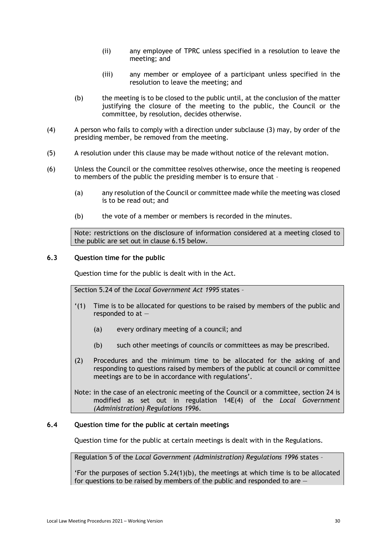- (ii) any employee of TPRC unless specified in a resolution to leave the meeting; and
- (iii) any member or employee of a participant unless specified in the resolution to leave the meeting; and
- (b) the meeting is to be closed to the public until, at the conclusion of the matter justifying the closure of the meeting to the public, the Council or the committee, by resolution, decides otherwise.
- (4) A person who fails to comply with a direction under subclause (3) may, by order of the presiding member, be removed from the meeting.
- (5) A resolution under this clause may be made without notice of the relevant motion.
- (6) Unless the Council or the committee resolves otherwise, once the meeting is reopened to members of the public the presiding member is to ensure that –
	- (a) any resolution of the Council or committee made while the meeting was closed is to be read out; and
	- (b) the vote of a member or members is recorded in the minutes.

Note: restrictions on the disclosure of information considered at a meeting closed to the public are set out in clause 6.15 below.

### <span id="page-29-0"></span>**6.3 Question time for the public**

Question time for the public is dealt with in the Act.

Section 5.24 of the *Local Government Act 1995* states –

- '(1) Time is to be allocated for questions to be raised by members of the public and responded to at —
	- (a) every ordinary meeting of a council; and
	- (b) such other meetings of councils or committees as may be prescribed.
- (2) Procedures and the minimum time to be allocated for the asking of and responding to questions raised by members of the public at council or committee meetings are to be in accordance with regulations'.

Note: in the case of an electronic meeting of the Council or a committee, section 24 is modified as set out in regulation 14E(4) of the *Local Government (Administration) Regulations 1996*.

# <span id="page-29-1"></span>**6.4 Question time for the public at certain meetings**

Question time for the public at certain meetings is dealt with in the Regulations.

Regulation 5 of the *Local Government (Administration) Regulations 1996* states –

'For the purposes of section  $5.24(1)(b)$ , the meetings at which time is to be allocated for questions to be raised by members of the public and responded to are  $-$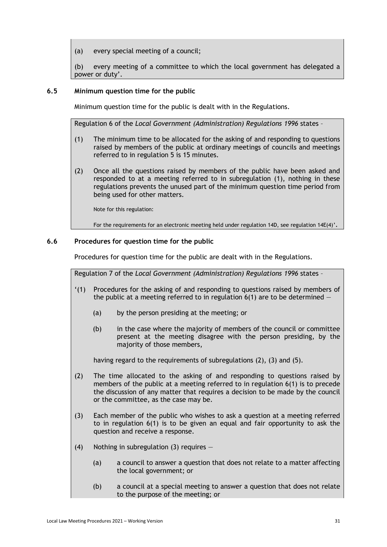(a) every special meeting of a council;

(b) every meeting of a committee to which the local government has delegated a power or duty'.

# <span id="page-30-0"></span>**6.5 Minimum question time for the public**

Minimum question time for the public is dealt with in the Regulations.

Regulation 6 of the *Local Government (Administration) Regulations 1996* states –

- (1) The minimum time to be allocated for the asking of and responding to questions raised by members of the public at ordinary meetings of councils and meetings referred to in regulation 5 is 15 minutes.
- (2) Once all the questions raised by members of the public have been asked and responded to at a meeting referred to in subregulation (1), nothing in these regulations prevents the unused part of the minimum question time period from being used for other matters.

Note for this regulation:

For the requirements for an electronic meeting held under regulation 14D, see regulation 14E(4)'.

# <span id="page-30-1"></span>**6.6 Procedures for question time for the public**

Procedures for question time for the public are dealt with in the Regulations.

Regulation 7 of the *Local Government (Administration) Regulations 1996* states –

- '(1) Procedures for the asking of and responding to questions raised by members of the public at a meeting referred to in regulation  $6(1)$  are to be determined  $\overline{\phantom{a}}$ 
	- (a) by the person presiding at the meeting; or
	- (b) in the case where the majority of members of the council or committee present at the meeting disagree with the person presiding, by the majority of those members,

having regard to the requirements of subregulations (2), (3) and (5).

- (2) The time allocated to the asking of and responding to questions raised by members of the public at a meeting referred to in regulation 6(1) is to precede the discussion of any matter that requires a decision to be made by the council or the committee, as the case may be.
- (3) Each member of the public who wishes to ask a question at a meeting referred to in regulation 6(1) is to be given an equal and fair opportunity to ask the question and receive a response.
- (4) Nothing in subregulation (3) requires  $-$ 
	- (a) a council to answer a question that does not relate to a matter affecting the local government; or
	- (b) a council at a special meeting to answer a question that does not relate to the purpose of the meeting; or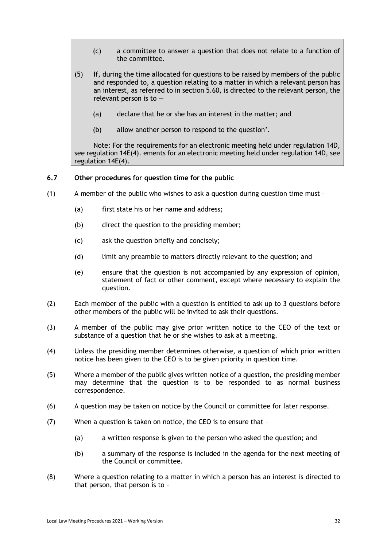- (c) a committee to answer a question that does not relate to a function of the committee.
- (5) If, during the time allocated for questions to be raised by members of the public and responded to, a question relating to a matter in which a relevant person has an interest, as referred to in section 5.60, is directed to the relevant person, the relevant person is to —
	- (a) declare that he or she has an interest in the matter; and
	- (b) allow another person to respond to the question'.

Note: For the requirements for an electronic meeting held under regulation 14D, see regulation 14E(4). ements for an electronic meeting held under regulation 14D, see regulation 14E(4).

# <span id="page-31-0"></span>**6.7 Other procedures for question time for the public**

- (1) A member of the public who wishes to ask a question during question time must
	- (a) first state his or her name and address;
	- (b) direct the question to the presiding member;
	- (c) ask the question briefly and concisely;
	- (d) limit any preamble to matters directly relevant to the question; and
	- (e) ensure that the question is not accompanied by any expression of opinion, statement of fact or other comment, except where necessary to explain the question.
- (2) Each member of the public with a question is entitled to ask up to 3 questions before other members of the public will be invited to ask their questions.
- (3) A member of the public may give prior written notice to the CEO of the text or substance of a question that he or she wishes to ask at a meeting.
- (4) Unless the presiding member determines otherwise, a question of which prior written notice has been given to the CEO is to be given priority in question time.
- (5) Where a member of the public gives written notice of a question, the presiding member may determine that the question is to be responded to as normal business correspondence.
- (6) A question may be taken on notice by the Council or committee for later response.
- (7) When a question is taken on notice, the CEO is to ensure that
	- (a) a written response is given to the person who asked the question; and
	- (b) a summary of the response is included in the agenda for the next meeting of the Council or committee.
- (8) Where a question relating to a matter in which a person has an interest is directed to that person, that person is to –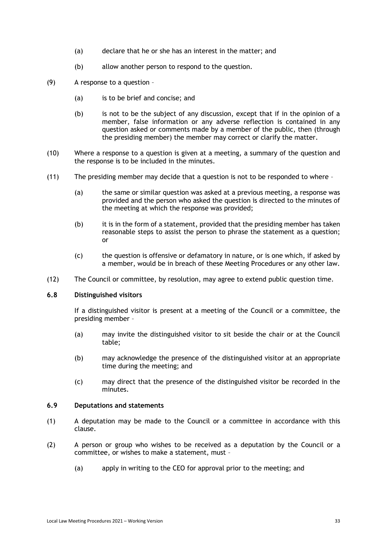- (a) declare that he or she has an interest in the matter; and
- (b) allow another person to respond to the question.
- (9) A response to a question
	- (a) is to be brief and concise; and
	- (b) is not to be the subject of any discussion, except that if in the opinion of a member, false information or any adverse reflection is contained in any question asked or comments made by a member of the public, then (through the presiding member) the member may correct or clarify the matter.
- (10) Where a response to a question is given at a meeting, a summary of the question and the response is to be included in the minutes.
- (11) The presiding member may decide that a question is not to be responded to where
	- (a) the same or similar question was asked at a previous meeting, a response was provided and the person who asked the question is directed to the minutes of the meeting at which the response was provided;
	- (b) it is in the form of a statement, provided that the presiding member has taken reasonable steps to assist the person to phrase the statement as a question; or
	- (c) the question is offensive or defamatory in nature, or is one which, if asked by a member, would be in breach of these Meeting Procedures or any other law.
- <span id="page-32-0"></span>(12) The Council or committee, by resolution, may agree to extend public question time.

#### **6.8 Distinguished visitors**

If a distinguished visitor is present at a meeting of the Council or a committee, the presiding member –

- (a) may invite the distinguished visitor to sit beside the chair or at the Council table;
- (b) may acknowledge the presence of the distinguished visitor at an appropriate time during the meeting; and
- (c) may direct that the presence of the distinguished visitor be recorded in the minutes.

# <span id="page-32-1"></span>**6.9 Deputations and statements**

- (1) A deputation may be made to the Council or a committee in accordance with this clause.
- (2) A person or group who wishes to be received as a deputation by the Council or a committee, or wishes to make a statement, must –
	- (a) apply in writing to the CEO for approval prior to the meeting; and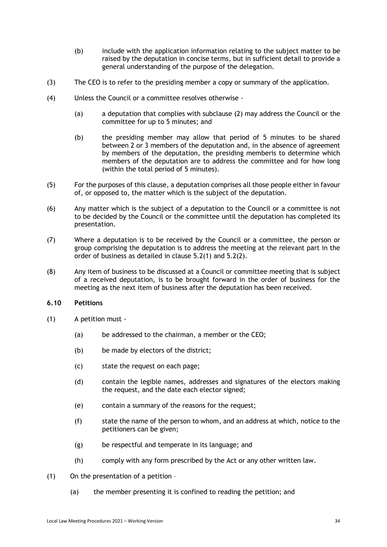- (b) include with the application information relating to the subject matter to be raised by the deputation in concise terms, but in sufficient detail to provide a general understanding of the purpose of the delegation.
- (3) The CEO is to refer to the presiding member a copy or summary of the application.
- (4) Unless the Council or a committee resolves otherwise
	- (a) a deputation that complies with subclause (2) may address the Council or the committee for up to 5 minutes; and
	- (b) the presiding member may allow that period of 5 minutes to be shared between 2 or 3 members of the deputation and, in the absence of agreement by members of the deputation, the presiding memberis to determine which members of the deputation are to address the committee and for how long (within the total period of 5 minutes).
- (5) For the purposes of this clause, a deputation comprises all those people either in favour of, or opposed to, the matter which is the subject of the deputation.
- (6) Any matter which is the subject of a deputation to the Council or a committee is not to be decided by the Council or the committee until the deputation has completed its presentation.
- (7) Where a deputation is to be received by the Council or a committee, the person or group comprising the deputation is to address the meeting at the relevant part in the order of business as detailed in clause 5.2(1) and 5.2(2).
- (8) Any item of business to be discussed at a Council or committee meeting that is subject of a received deputation, is to be brought forward in the order of business for the meeting as the next item of business after the deputation has been received.

# <span id="page-33-0"></span>**6.10 Petitions**

- (1) A petition must
	- (a) be addressed to the chairman, a member or the CEO;
	- (b) be made by electors of the district;
	- (c) state the request on each page;
	- (d) contain the legible names, addresses and signatures of the electors making the request, and the date each elector signed;
	- (e) contain a summary of the reasons for the request;
	- (f) state the name of the person to whom, and an address at which, notice to the petitioners can be given;
	- (g) be respectful and temperate in its language; and
	- (h) comply with any form prescribed by the Act or any other written law.
- (1) On the presentation of a petition
	- (a) the member presenting it is confined to reading the petition; and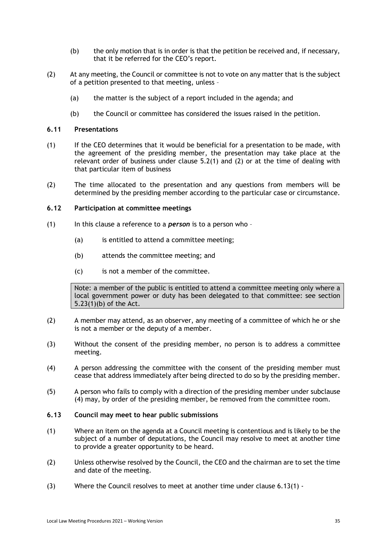- (b) the only motion that is in order is that the petition be received and, if necessary, that it be referred for the CEO's report.
- (2) At any meeting, the Council or committee is not to vote on any matter that is the subject of a petition presented to that meeting, unless –
	- (a) the matter is the subject of a report included in the agenda; and
	- (b) the Council or committee has considered the issues raised in the petition.

#### <span id="page-34-0"></span>**6.11 Presentations**

- (1) If the CEO determines that it would be beneficial for a presentation to be made, with the agreement of the presiding member, the presentation may take place at the relevant order of business under clause 5.2(1) and (2) or at the time of dealing with that particular item of business
- (2) The time allocated to the presentation and any questions from members will be determined by the presiding member according to the particular case or circumstance.

### <span id="page-34-1"></span>**6.12 Participation at committee meetings**

- (1) In this clause a reference to a *person* is to a person who
	- (a) is entitled to attend a committee meeting;
	- (b) attends the committee meeting; and
	- (c) is not a member of the committee.

Note: a member of the public is entitled to attend a committee meeting only where a local government power or duty has been delegated to that committee: see section 5.23(1)(b) of the Act.

- (2) A member may attend, as an observer, any meeting of a committee of which he or she is not a member or the deputy of a member.
- (3) Without the consent of the presiding member, no person is to address a committee meeting.
- (4) A person addressing the committee with the consent of the presiding member must cease that address immediately after being directed to do so by the presiding member.
- (5) A person who fails to comply with a direction of the presiding member under subclause (4) may, by order of the presiding member, be removed from the committee room.
- <span id="page-34-2"></span>**6.13 Council may meet to hear public submissions**
- (1) Where an item on the agenda at a Council meeting is contentious and is likely to be the subject of a number of deputations, the Council may resolve to meet at another time to provide a greater opportunity to be heard.
- (2) Unless otherwise resolved by the Council, the CEO and the chairman are to set the time and date of the meeting.
- (3) Where the Council resolves to meet at another time under clause 6.13(1) -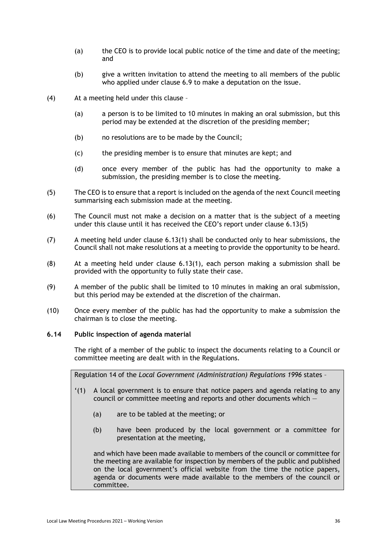- (a) the CEO is to provide local public notice of the time and date of the meeting; and
- (b) give a written invitation to attend the meeting to all members of the public who applied under clause 6.9 to make a deputation on the issue.
- (4) At a meeting held under this clause
	- (a) a person is to be limited to 10 minutes in making an oral submission, but this period may be extended at the discretion of the presiding member;
	- (b) no resolutions are to be made by the Council;
	- (c) the presiding member is to ensure that minutes are kept; and
	- (d) once every member of the public has had the opportunity to make a submission, the presiding member is to close the meeting.
- (5) The CEO is to ensure that a report is included on the agenda of the next Council meeting summarising each submission made at the meeting.
- (6) The Council must not make a decision on a matter that is the subject of a meeting under this clause until it has received the CEO's report under clause 6.13(5)
- (7) A meeting held under clause 6.13(1) shall be conducted only to hear submissions, the Council shall not make resolutions at a meeting to provide the opportunity to be heard.
- (8) At a meeting held under clause 6.13(1), each person making a submission shall be provided with the opportunity to fully state their case.
- (9) A member of the public shall be limited to 10 minutes in making an oral submission, but this period may be extended at the discretion of the chairman.
- (10) Once every member of the public has had the opportunity to make a submission the chairman is to close the meeting.

#### <span id="page-35-0"></span>**6.14 Public inspection of agenda material**

The right of a member of the public to inspect the documents relating to a Council or committee meeting are dealt with in the Regulations.

Regulation 14 of the *Local Government (Administration) Regulations 1996* states –

- '(1) A local government is to ensure that notice papers and agenda relating to any council or committee meeting and reports and other documents which —
	- (a) are to be tabled at the meeting; or
	- (b) have been produced by the local government or a committee for presentation at the meeting,

and which have been made available to members of the council or committee for the meeting are available for inspection by members of the public and published on the local government's official website from the time the notice papers, agenda or documents were made available to the members of the council or committee.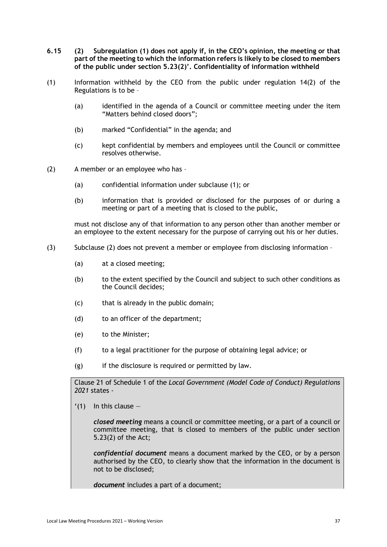- <span id="page-36-0"></span>**6.15 (2) Subregulation (1) does not apply if, in the CEO's opinion, the meeting or that part of the meeting to which the information refers is likely to be closed to members of the public under section 5.23(2)'. Confidentiality of information withheld**
- (1) Information withheld by the CEO from the public under regulation 14(2) of the Regulations is to be –
	- (a) identified in the agenda of a Council or committee meeting under the item "Matters behind closed doors";
	- (b) marked "Confidential" in the agenda; and
	- (c) kept confidential by members and employees until the Council or committee resolves otherwise.
- (2) A member or an employee who has
	- (a) confidential information under subclause (1); or
	- (b) information that is provided or disclosed for the purposes of or during a meeting or part of a meeting that is closed to the public,

must not disclose any of that information to any person other than another member or an employee to the extent necessary for the purpose of carrying out his or her duties.

- (3) Subclause (2) does not prevent a member or employee from disclosing information
	- (a) at a closed meeting;
	- (b) to the extent specified by the Council and subject to such other conditions as the Council decides;
	- (c) that is already in the public domain;
	- (d) to an officer of the department;
	- (e) to the Minister;
	- (f) to a legal practitioner for the purpose of obtaining legal advice; or
	- (g) if the disclosure is required or permitted by law.

Clause 21 of Schedule 1 of the *Local Government (Model Code of Conduct) Regulations 2021* states -

 $(1)$  In this clause  $-$ 

*closed meeting* means a council or committee meeting, or a part of a council or committee meeting, that is closed to members of the public under section 5.23(2) of the Act;

*confidential document* means a document marked by the CEO, or by a person authorised by the CEO, to clearly show that the information in the document is not to be disclosed;

*document* includes a part of a document;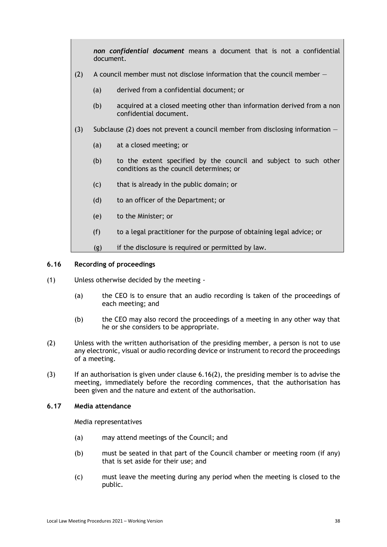*non confidential document* means a document that is not a confidential document.

- (2) A council member must not disclose information that the council member  $-$ 
	- (a) derived from a confidential document; or
	- (b) acquired at a closed meeting other than information derived from a non confidential document.
- (3) Subclause (2) does not prevent a council member from disclosing information  $-$ 
	- (a) at a closed meeting; or
	- (b) to the extent specified by the council and subject to such other conditions as the council determines; or
	- (c) that is already in the public domain; or
	- (d) to an officer of the Department; or
	- (e) to the Minister; or
	- (f) to a legal practitioner for the purpose of obtaining legal advice; or
	- $(g)$  if the disclosure is required or permitted by law.

### <span id="page-37-0"></span>**6.16 Recording of proceedings**

- (1) Unless otherwise decided by the meeting
	- (a) the CEO is to ensure that an audio recording is taken of the proceedings of each meeting; and
	- (b) the CEO may also record the proceedings of a meeting in any other way that he or she considers to be appropriate.
- (2) Unless with the written authorisation of the presiding member, a person is not to use any electronic, visual or audio recording device or instrument to record the proceedings of a meeting.
- (3) If an authorisation is given under clause 6.16(2), the presiding member is to advise the meeting, immediately before the recording commences, that the authorisation has been given and the nature and extent of the authorisation.

# <span id="page-37-1"></span>**6.17 Media attendance**

Media representatives

- (a) may attend meetings of the Council; and
- (b) must be seated in that part of the Council chamber or meeting room (if any) that is set aside for their use; and
- (c) must leave the meeting during any period when the meeting is closed to the public.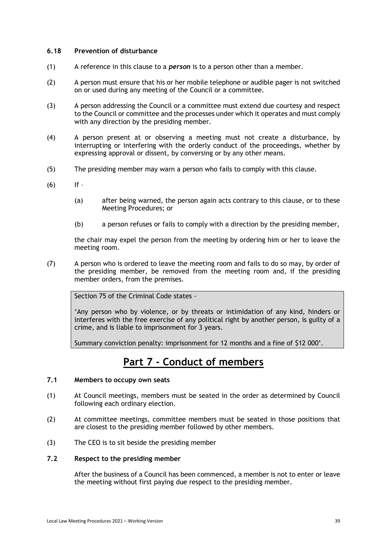# <span id="page-38-0"></span>**6.18 Prevention of disturbance**

- (1) A reference in this clause to a *person* is to a person other than a member.
- (2) A person must ensure that his or her mobile telephone or audible pager is not switched on or used during any meeting of the Council or a committee.
- (3) A person addressing the Council or a committee must extend due courtesy and respect to the Council or committee and the processes under which it operates and must comply with any direction by the presiding member.
- (4) A person present at or observing a meeting must not create a disturbance, by interrupting or interfering with the orderly conduct of the proceedings, whether by expressing approval or dissent, by conversing or by any other means.
- (5) The presiding member may warn a person who fails to comply with this clause.
- $(6)$  If
	- (a) after being warned, the person again acts contrary to this clause, or to these Meeting Procedures; or
	- (b) a person refuses or fails to comply with a direction by the presiding member,

the chair may expel the person from the meeting by ordering him or her to leave the meeting room.

(7) A person who is ordered to leave the meeting room and fails to do so may, by order of the presiding member, be removed from the meeting room and, if the presiding member orders, from the premises.

Section 75 of the Criminal Code states -

'Any person who by violence, or by threats or intimidation of any kind, hinders or interferes with the free exercise of any political right by another person, is guilty of a crime, and is liable to imprisonment for 3 years.

Summary conviction penalty: imprisonment for 12 months and a fine of \$12 000'.

# **Part 7 - Conduct of members**

# <span id="page-38-2"></span><span id="page-38-1"></span>**7.1 Members to occupy own seats**

- (1) At Council meetings, members must be seated in the order as determined by Council following each ordinary election.
- (2) At committee meetings, committee members must be seated in those positions that are closest to the presiding member followed by other members.
- <span id="page-38-3"></span>(3) The CEO is to sit beside the presiding member

# **7.2 Respect to the presiding member**

After the business of a Council has been commenced, a member is not to enter or leave the meeting without first paying due respect to the presiding member.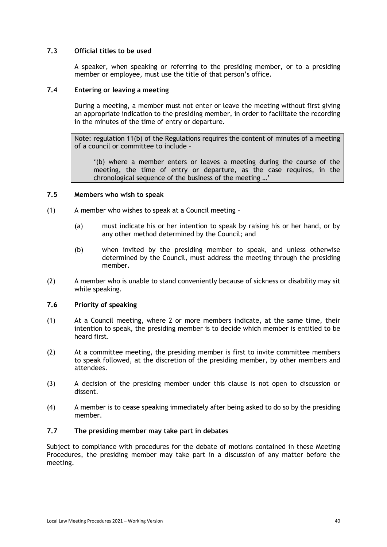# <span id="page-39-0"></span>**7.3 Official titles to be used**

A speaker, when speaking or referring to the presiding member, or to a presiding member or employee, must use the title of that person's office.

# <span id="page-39-1"></span>**7.4 Entering or leaving a meeting**

During a meeting, a member must not enter or leave the meeting without first giving an appropriate indication to the presiding member, in order to facilitate the recording in the minutes of the time of entry or departure.

Note: regulation 11(b) of the Regulations requires the content of minutes of a meeting of a council or committee to include –

'(b) where a member enters or leaves a meeting during the course of the meeting, the time of entry or departure, as the case requires, in the chronological sequence of the business of the meeting …'

# <span id="page-39-2"></span>**7.5 Members who wish to speak**

- (1) A member who wishes to speak at a Council meeting
	- (a) must indicate his or her intention to speak by raising his or her hand, or by any other method determined by the Council; and
	- (b) when invited by the presiding member to speak, and unless otherwise determined by the Council, must address the meeting through the presiding member.
- (2) A member who is unable to stand conveniently because of sickness or disability may sit while speaking.

# <span id="page-39-3"></span>**7.6 Priority of speaking**

- (1) At a Council meeting, where 2 or more members indicate, at the same time, their intention to speak, the presiding member is to decide which member is entitled to be heard first.
- (2) At a committee meeting, the presiding member is first to invite committee members to speak followed, at the discretion of the presiding member, by other members and attendees.
- (3) A decision of the presiding member under this clause is not open to discussion or dissent.
- (4) A member is to cease speaking immediately after being asked to do so by the presiding member.

# <span id="page-39-4"></span>**7.7 The presiding member may take part in debates**

Subject to compliance with procedures for the debate of motions contained in these Meeting Procedures, the presiding member may take part in a discussion of any matter before the meeting.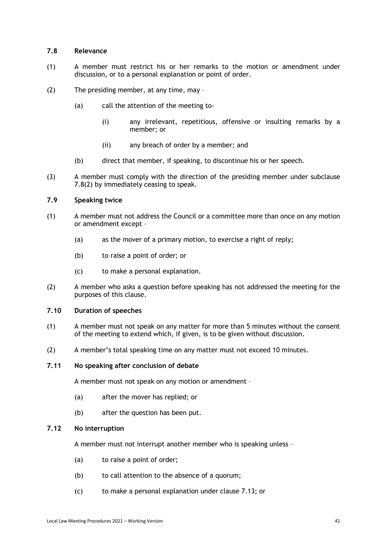# <span id="page-40-0"></span>**7.8 Relevance**

- (1) A member must restrict his or her remarks to the motion or amendment under discussion, or to a personal explanation or point of order.
- (2) The presiding member, at any time, may
	- (a) call the attention of the meeting to-
		- (i) any irrelevant, repetitious, offensive or insulting remarks by a member; or
		- (ii) any breach of order by a member; and
	- (b) direct that member, if speaking, to discontinue his or her speech.
- (3) A member must comply with the direction of the presiding member under subclause 7.8(2) by immediately ceasing to speak.

# <span id="page-40-1"></span>**7.9 Speaking twice**

- (1) A member must not address the Council or a committee more than once on any motion or amendment except –
	- (a) as the mover of a primary motion, to exercise a right of reply;
	- (b) to raise a point of order; or
	- (c) to make a personal explanation.
- (2) A member who asks a question before speaking has not addressed the meeting for the purposes of this clause.

### <span id="page-40-2"></span>**7.10 Duration of speeches**

- (1) A member must not speak on any matter for more than 5 minutes without the consent of the meeting to extend which, if given, is to be given without discussion.
- <span id="page-40-3"></span>(2) A member's total speaking time on any matter must not exceed 10 minutes.
- **7.11 No speaking after conclusion of debate**

A member must not speak on any motion or amendment –

- (a) after the mover has replied; or
- (b) after the question has been put.

#### <span id="page-40-4"></span>**7.12 No interruption**

A member must not interrupt another member who is speaking unless –

- (a) to raise a point of order;
- (b) to call attention to the absence of a quorum;
- (c) to make a personal explanation under clause 7.13; or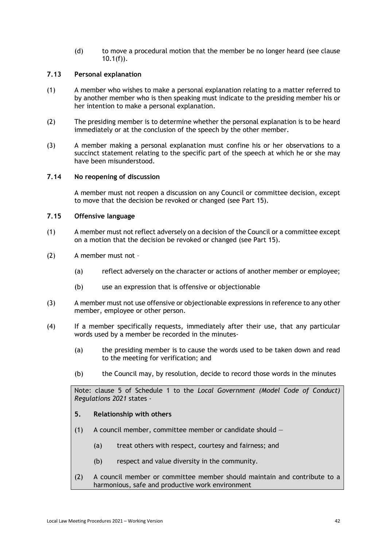(d) to move a procedural motion that the member be no longer heard (see clause  $10.1(f)$ ).

# <span id="page-41-0"></span>**7.13 Personal explanation**

- (1) A member who wishes to make a personal explanation relating to a matter referred to by another member who is then speaking must indicate to the presiding member his or her intention to make a personal explanation.
- (2) The presiding member is to determine whether the personal explanation is to be heard immediately or at the conclusion of the speech by the other member.
- (3) A member making a personal explanation must confine his or her observations to a succinct statement relating to the specific part of the speech at which he or she may have been misunderstood.

# <span id="page-41-1"></span>**7.14 No reopening of discussion**

A member must not reopen a discussion on any Council or committee decision, except to move that the decision be revoked or changed (see Part 15).

# <span id="page-41-2"></span>**7.15 Offensive language**

- (1) A member must not reflect adversely on a decision of the Council or a committee except on a motion that the decision be revoked or changed (see Part 15).
- (2) A member must not
	- (a) reflect adversely on the character or actions of another member or employee;
	- (b) use an expression that is offensive or objectionable
- (3) A member must not use offensive or objectionable expressions in reference to any other member, employee or other person.
- (4) If a member specifically requests, immediately after their use, that any particular words used by a member be recorded in the minutes-
	- (a) the presiding member is to cause the words used to be taken down and read to the meeting for verification; and
	- (b) the Council may, by resolution, decide to record those words in the minutes

Note: clause 5 of Schedule 1 to the *Local Government (Model Code of Conduct) Regulations 2021* states -

# **5. Relationship with others**

- (1) A council member, committee member or candidate should  $-$ 
	- (a) treat others with respect, courtesy and fairness; and
	- (b) respect and value diversity in the community.
- (2) A council member or committee member should maintain and contribute to a harmonious, safe and productive work environment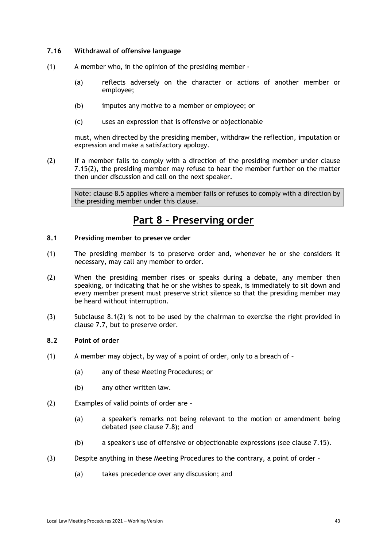# <span id="page-42-0"></span>**7.16 Withdrawal of offensive language**

- (1) A member who, in the opinion of the presiding member
	- (a) reflects adversely on the character or actions of another member or employee;
	- (b) imputes any motive to a member or employee; or
	- (c) uses an expression that is offensive or objectionable

must, when directed by the presiding member, withdraw the reflection, imputation or expression and make a satisfactory apology.

(2) If a member fails to comply with a direction of the presiding member under clause 7.15(2), the presiding member may refuse to hear the member further on the matter then under discussion and call on the next speaker.

Note: clause 8.5 applies where a member fails or refuses to comply with a direction by the presiding member under this clause.

# **Part 8 - Preserving order**

# <span id="page-42-2"></span><span id="page-42-1"></span>**8.1 Presiding member to preserve order**

- (1) The presiding member is to preserve order and, whenever he or she considers it necessary, may call any member to order.
- (2) When the presiding member rises or speaks during a debate, any member then speaking, or indicating that he or she wishes to speak, is immediately to sit down and every member present must preserve strict silence so that the presiding member may be heard without interruption.
- (3) Subclause 8.1(2) is not to be used by the chairman to exercise the right provided in clause 7.7, but to preserve order.

# <span id="page-42-3"></span>**8.2 Point of order**

- (1) A member may object, by way of a point of order, only to a breach of
	- (a) any of these Meeting Procedures; or
	- (b) any other written law.
- (2) Examples of valid points of order are
	- (a) a speaker's remarks not being relevant to the motion or amendment being debated (see clause 7.8); and
	- (b) a speaker's use of offensive or objectionable expressions (see clause 7.15).
- (3) Despite anything in these Meeting Procedures to the contrary, a point of order
	- (a) takes precedence over any discussion; and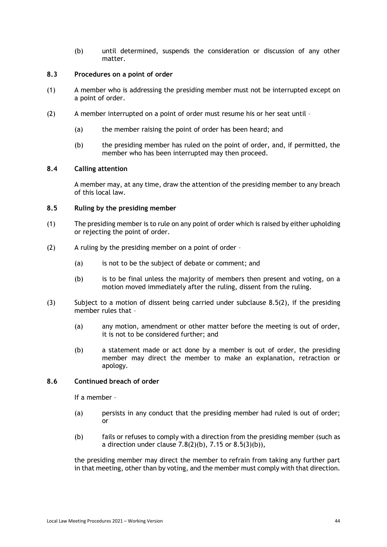(b) until determined, suspends the consideration or discussion of any other matter.

# <span id="page-43-0"></span>**8.3 Procedures on a point of order**

- (1) A member who is addressing the presiding member must not be interrupted except on a point of order.
- (2) A member interrupted on a point of order must resume his or her seat until
	- (a) the member raising the point of order has been heard; and
	- (b) the presiding member has ruled on the point of order, and, if permitted, the member who has been interrupted may then proceed.

# <span id="page-43-1"></span>**8.4 Calling attention**

A member may, at any time, draw the attention of the presiding member to any breach of this local law.

# <span id="page-43-2"></span>**8.5 Ruling by the presiding member**

- (1) The presiding member is to rule on any point of order which is raised by either upholding or rejecting the point of order.
- (2) A ruling by the presiding member on a point of order
	- (a) is not to be the subject of debate or comment; and
	- (b) is to be final unless the majority of members then present and voting, on a motion moved immediately after the ruling, dissent from the ruling.
- (3) Subject to a motion of dissent being carried under subclause 8.5(2), if the presiding member rules that –
	- (a) any motion, amendment or other matter before the meeting is out of order, it is not to be considered further; and
	- (b) a statement made or act done by a member is out of order, the presiding member may direct the member to make an explanation, retraction or apology.

# <span id="page-43-3"></span>**8.6 Continued breach of order**

If a member –

- (a) persists in any conduct that the presiding member had ruled is out of order; or
- (b) fails or refuses to comply with a direction from the presiding member (such as a direction under clause  $7.8(2)(b)$ ,  $7.15$  or  $8.5(3)(b)$ ),

the presiding member may direct the member to refrain from taking any further part in that meeting, other than by voting, and the member must comply with that direction.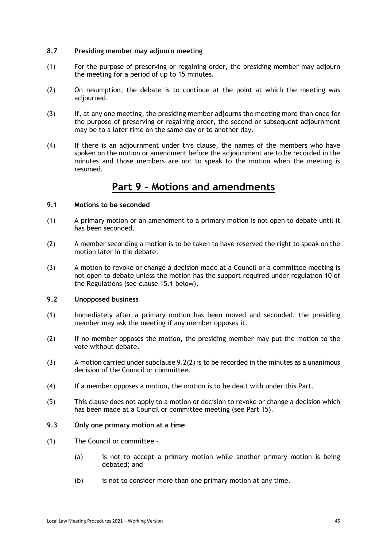# <span id="page-44-0"></span>**8.7 Presiding member may adjourn meeting**

- (1) For the purpose of preserving or regaining order, the presiding member may adjourn the meeting for a period of up to 15 minutes.
- (2) On resumption, the debate is to continue at the point at which the meeting was adjourned.
- (3) If, at any one meeting, the presiding member adjourns the meeting more than once for the purpose of preserving or regaining order, the second or subsequent adjournment may be to a later time on the same day or to another day.
- (4) If there is an adjournment under this clause, the names of the members who have spoken on the motion or amendment before the adjournment are to be recorded in the minutes and those members are not to speak to the motion when the meeting is resumed.

# **Part 9 - Motions and amendments**

# <span id="page-44-2"></span><span id="page-44-1"></span>**9.1 Motions to be seconded**

- (1) A primary motion or an amendment to a primary motion is not open to debate until it has been seconded.
- (2) A member seconding a motion is to be taken to have reserved the right to speak on the motion later in the debate.
- (3) A motion to revoke or change a decision made at a Council or a committee meeting is not open to debate unless the motion has the support required under regulation 10 of the Regulations (see clause 15.1 below).

# <span id="page-44-3"></span>**9.2 Unopposed business**

- (1) Immediately after a primary motion has been moved and seconded, the presiding member may ask the meeting if any member opposes it.
- <span id="page-44-5"></span>(2) If no member opposes the motion, the presiding member may put the motion to the vote without debate.
- (3) A motion carried under subclause [9.2\(2\)](#page-44-5) is to be recorded in the minutes as a unanimous decision of the Council or committee.
- (4) If a member opposes a motion, the motion is to be dealt with under this Part.
- (5) This clause does not apply to a motion or decision to revoke or change a decision which has been made at a Council or committee meeting (see Part 15).

# <span id="page-44-4"></span>**9.3 Only one primary motion at a time**

- (1) The Council or committee
	- (a) is not to accept a primary motion while another primary motion is being debated; and
	- (b) is not to consider more than one primary motion at any time.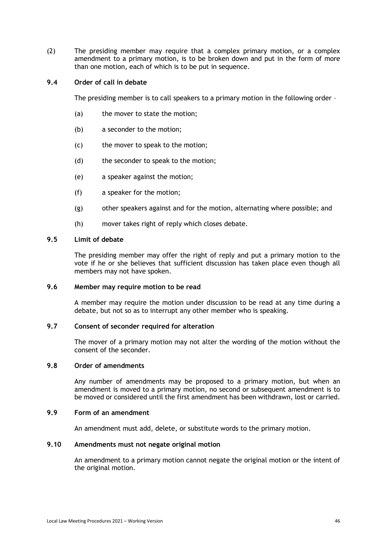(2) The presiding member may require that a complex primary motion, or a complex amendment to a primary motion, is to be broken down and put in the form of more than one motion, each of which is to be put in sequence.

# <span id="page-45-0"></span>**9.4 Order of call in debate**

The presiding member is to call speakers to a primary motion in the following order -

- (a) the mover to state the motion;
- (b) a seconder to the motion;
- (c) the mover to speak to the motion;
- (d) the seconder to speak to the motion;
- (e) a speaker against the motion;
- (f) a speaker for the motion;
- (g) other speakers against and for the motion, alternating where possible; and
- (h) mover takes right of reply which closes debate.

# <span id="page-45-1"></span>**9.5 Limit of debate**

The presiding member may offer the right of reply and put a primary motion to the vote if he or she believes that sufficient discussion has taken place even though all members may not have spoken.

# <span id="page-45-2"></span>**9.6 Member may require motion to be read**

A member may require the motion under discussion to be read at any time during a debate, but not so as to interrupt any other member who is speaking.

### <span id="page-45-3"></span>**9.7 Consent of seconder required for alteration**

The mover of a primary motion may not alter the wording of the motion without the consent of the seconder.

### <span id="page-45-4"></span>**9.8 Order of amendments**

Any number of amendments may be proposed to a primary motion, but when an amendment is moved to a primary motion, no second or subsequent amendment is to be moved or considered until the first amendment has been withdrawn, lost or carried.

#### <span id="page-45-5"></span>**9.9 Form of an amendment**

An amendment must add, delete, or substitute words to the primary motion.

# <span id="page-45-6"></span>**9.10 Amendments must not negate original motion**

An amendment to a primary motion cannot negate the original motion or the intent of the original motion.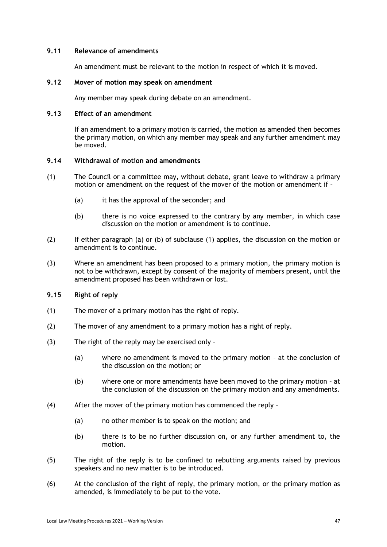# <span id="page-46-0"></span>**9.11 Relevance of amendments**

An amendment must be relevant to the motion in respect of which it is moved.

### <span id="page-46-1"></span>**9.12 Mover of motion may speak on amendment**

Any member may speak during debate on an amendment.

# <span id="page-46-2"></span>**9.13 Effect of an amendment**

If an amendment to a primary motion is carried, the motion as amended then becomes the primary motion, on which any member may speak and any further amendment may be moved.

### <span id="page-46-3"></span>**9.14 Withdrawal of motion and amendments**

- (1) The Council or a committee may, without debate, grant leave to withdraw a primary motion or amendment on the request of the mover of the motion or amendment if –
	- (a) it has the approval of the seconder; and
	- (b) there is no voice expressed to the contrary by any member, in which case discussion on the motion or amendment is to continue.
- (2) If either paragraph (a) or (b) of subclause (1) applies, the discussion on the motion or amendment is to continue.
- (3) Where an amendment has been proposed to a primary motion, the primary motion is not to be withdrawn, except by consent of the majority of members present, until the amendment proposed has been withdrawn or lost.

# <span id="page-46-4"></span>**9.15 Right of reply**

- (1) The mover of a primary motion has the right of reply.
- (2) The mover of any amendment to a primary motion has a right of reply.
- (3) The right of the reply may be exercised only
	- (a) where no amendment is moved to the primary motion at the conclusion of the discussion on the motion; or
	- (b) where one or more amendments have been moved to the primary motion at the conclusion of the discussion on the primary motion and any amendments.
- (4) After the mover of the primary motion has commenced the reply
	- (a) no other member is to speak on the motion; and
	- (b) there is to be no further discussion on, or any further amendment to, the motion.
- (5) The right of the reply is to be confined to rebutting arguments raised by previous speakers and no new matter is to be introduced.
- (6) At the conclusion of the right of reply, the primary motion, or the primary motion as amended, is immediately to be put to the vote.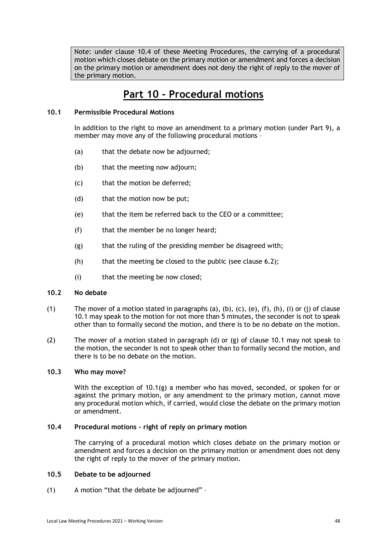Note: under clause 10.4 of these Meeting Procedures, the carrying of a procedural motion which closes debate on the primary motion or amendment and forces a decision on the primary motion or amendment does not deny the right of reply to the mover of the primary motion.

# **Part 10 - Procedural motions**

# <span id="page-47-1"></span><span id="page-47-0"></span>**10.1 Permissible Procedural Motions**

In addition to the right to move an amendment to a primary motion (under Part 9), a member may move any of the following procedural motions –

- (a) that the debate now be adjourned;
- (b) that the meeting now adjourn;
- (c) that the motion be deferred;
- (d) that the motion now be put;
- (e) that the item be referred back to the CEO or a committee;
- (f) that the member be no longer heard;
- (g) that the ruling of the presiding member be disagreed with;
- $(h)$  that the meeting be closed to the public (see clause 6.2);
- (i) that the meeting be now closed;

# <span id="page-47-2"></span>**10.2 No debate**

- (1) The mover of a motion stated in paragraphs (a), (b), (c), (e), (f), (h), (i) or (j) of clause 10.1 may speak to the motion for not more than 5 minutes, the seconder is not to speak other than to formally second the motion, and there is to be no debate on the motion.
- (2) The mover of a motion stated in paragraph (d) or (g) of clause 10.1 may not speak to the motion, the seconder is not to speak other than to formally second the motion, and there is to be no debate on the motion.

# <span id="page-47-3"></span>**10.3 Who may move?**

With the exception of 10.1(g) a member who has moved, seconded, or spoken for or against the primary motion, or any amendment to the primary motion, cannot move any procedural motion which, if carried, would close the debate on the primary motion or amendment.

# <span id="page-47-4"></span>**10.4 Procedural motions - right of reply on primary motion**

The carrying of a procedural motion which closes debate on the primary motion or amendment and forces a decision on the primary motion or amendment does not deny the right of reply to the mover of the primary motion.

# <span id="page-47-5"></span>**10.5 Debate to be adjourned**

(1) A motion "that the debate be adjourned" –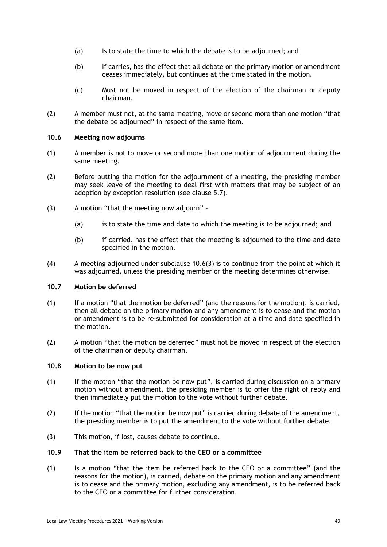- (a) Is to state the time to which the debate is to be adjourned; and
- (b) If carries, has the effect that all debate on the primary motion or amendment ceases immediately, but continues at the time stated in the motion.
- (c) Must not be moved in respect of the election of the chairman or deputy chairman.
- (2) A member must not, at the same meeting, move or second more than one motion "that the debate be adjourned" in respect of the same item.

#### <span id="page-48-0"></span>**10.6 Meeting now adjourns**

- (1) A member is not to move or second more than one motion of adjournment during the same meeting.
- (2) Before putting the motion for the adjournment of a meeting, the presiding member may seek leave of the meeting to deal first with matters that may be subject of an adoption by exception resolution (see clause 5.7).
- (3) A motion "that the meeting now adjourn"
	- (a) is to state the time and date to which the meeting is to be adjourned; and
	- (b) if carried, has the effect that the meeting is adjourned to the time and date specified in the motion.
- (4) A meeting adjourned under subclause 10.6(3) is to continue from the point at which it was adjourned, unless the presiding member or the meeting determines otherwise.

#### <span id="page-48-1"></span>**10.7 Motion be deferred**

- (1) If a motion "that the motion be deferred" (and the reasons for the motion), is carried, then all debate on the primary motion and any amendment is to cease and the motion or amendment is to be re-submitted for consideration at a time and date specified in the motion.
- (2) A motion "that the motion be deferred" must not be moved in respect of the election of the chairman or deputy chairman.

### <span id="page-48-2"></span>**10.8 Motion to be now put**

- (1) If the motion "that the motion be now put", is carried during discussion on a primary motion without amendment, the presiding member is to offer the right of reply and then immediately put the motion to the vote without further debate.
- (2) If the motion "that the motion be now put" is carried during debate of the amendment, the presiding member is to put the amendment to the vote without further debate.
- <span id="page-48-3"></span>(3) This motion, if lost, causes debate to continue.

# **10.9 That the item be referred back to the CEO or a committee**

(1) Is a motion "that the item be referred back to the CEO or a committee" (and the reasons for the motion), is carried, debate on the primary motion and any amendment is to cease and the primary motion, excluding any amendment, is to be referred back to the CEO or a committee for further consideration.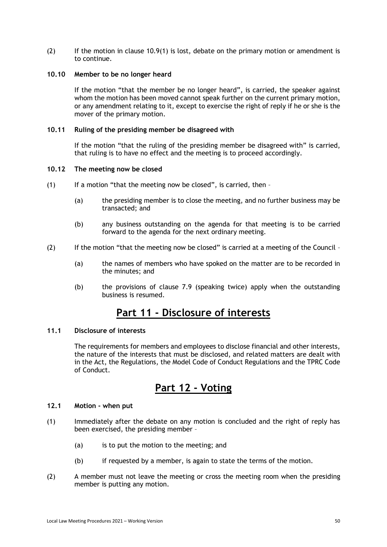(2) If the motion in clause 10.9(1) is lost, debate on the primary motion or amendment is to continue.

# <span id="page-49-0"></span>**10.10 Member to be no longer heard**

If the motion "that the member be no longer heard", is carried, the speaker against whom the motion has been moved cannot speak further on the current primary motion, or any amendment relating to it, except to exercise the right of reply if he or she is the mover of the primary motion.

### <span id="page-49-1"></span>**10.11 Ruling of the presiding member be disagreed with**

If the motion "that the ruling of the presiding member be disagreed with" is carried, that ruling is to have no effect and the meeting is to proceed accordingly.

# <span id="page-49-2"></span>**10.12 The meeting now be closed**

- $(1)$  If a motion "that the meeting now be closed", is carried, then -
	- (a) the presiding member is to close the meeting, and no further business may be transacted; and
	- (b) any business outstanding on the agenda for that meeting is to be carried forward to the agenda for the next ordinary meeting.
- (2) If the motion "that the meeting now be closed" is carried at a meeting of the Council
	- (a) the names of members who have spoked on the matter are to be recorded in the minutes; and
	- (b) the provisions of clause 7.9 (speaking twice) apply when the outstanding business is resumed.

# **Part 11 - Disclosure of interests**

#### <span id="page-49-4"></span><span id="page-49-3"></span>**11.1 Disclosure of interests**

The requirements for members and employees to disclose financial and other interests, the nature of the interests that must be disclosed, and related matters are dealt with in the Act, the Regulations, the Model Code of Conduct Regulations and the TPRC Code of Conduct.

# **Part 12 - Voting**

# <span id="page-49-6"></span><span id="page-49-5"></span>**12.1 Motion - when put**

- (1) Immediately after the debate on any motion is concluded and the right of reply has been exercised, the presiding member –
	- (a) is to put the motion to the meeting; and
	- (b) if requested by a member, is again to state the terms of the motion.
- (2) A member must not leave the meeting or cross the meeting room when the presiding member is putting any motion.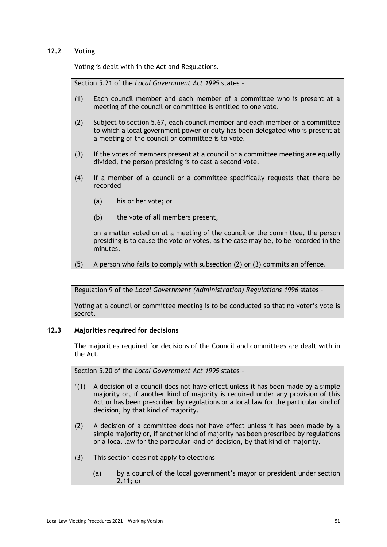# <span id="page-50-0"></span>**12.2 Voting**

Voting is dealt with in the Act and Regulations.

Section 5.21 of the *Local Government Act 1995* states –

- (1) Each council member and each member of a committee who is present at a meeting of the council or committee is entitled to one vote.
- (2) Subject to section 5.67, each council member and each member of a committee to which a local government power or duty has been delegated who is present at a meeting of the council or committee is to vote.
- (3) If the votes of members present at a council or a committee meeting are equally divided, the person presiding is to cast a second vote.
- (4) If a member of a council or a committee specifically requests that there be recorded —
	- (a) his or her vote; or
	- (b) the vote of all members present,

on a matter voted on at a meeting of the council or the committee, the person presiding is to cause the vote or votes, as the case may be, to be recorded in the minutes.

(5) A person who fails to comply with subsection (2) or (3) commits an offence.

Regulation 9 of the *Local Government (Administration) Regulations 1996* states –

Voting at a council or committee meeting is to be conducted so that no voter's vote is secret.

# <span id="page-50-1"></span>**12.3 Majorities required for decisions**

The majorities required for decisions of the Council and committees are dealt with in the Act.

Section 5.20 of the *Local Government Act 1995* states –

- '(1) A decision of a council does not have effect unless it has been made by a simple majority or, if another kind of majority is required under any provision of this Act or has been prescribed by regulations or a local law for the particular kind of decision, by that kind of majority.
- (2) A decision of a committee does not have effect unless it has been made by a simple majority or, if another kind of majority has been prescribed by regulations or a local law for the particular kind of decision, by that kind of majority.
- (3) This section does not apply to elections  $-$ 
	- (a) by a council of the local government's mayor or president under section 2.11; or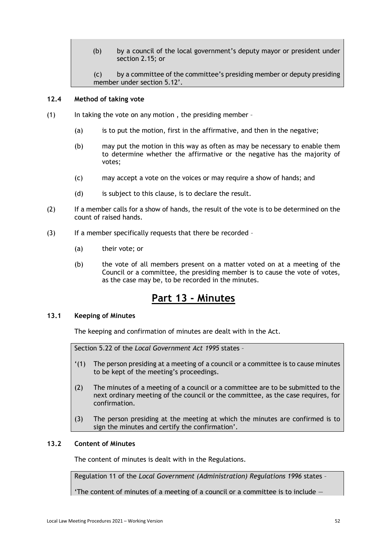(b) by a council of the local government's deputy mayor or president under section 2.15; or

### <span id="page-51-0"></span>**12.4 Method of taking vote**

- (1) In taking the vote on any motion , the presiding member
	- (a) is to put the motion, first in the affirmative, and then in the negative;
	- (b) may put the motion in this way as often as may be necessary to enable them to determine whether the affirmative or the negative has the majority of votes;
	- (c) may accept a vote on the voices or may require a show of hands; and
	- (d) is subject to this clause, is to declare the result.
- (2) If a member calls for a show of hands, the result of the vote is to be determined on the count of raised hands.
- (3) If a member specifically requests that there be recorded
	- (a) their vote; or
	- (b) the vote of all members present on a matter voted on at a meeting of the Council or a committee, the presiding member is to cause the vote of votes, as the case may be, to be recorded in the minutes.

# **Part 13 - Minutes**

# <span id="page-51-2"></span><span id="page-51-1"></span>**13.1 Keeping of Minutes**

The keeping and confirmation of minutes are dealt with in the Act.

Section 5.22 of the *Local Government Act 1995* states –

- '(1) The person presiding at a meeting of a council or a committee is to cause minutes to be kept of the meeting's proceedings.
- (2) The minutes of a meeting of a council or a committee are to be submitted to the next ordinary meeting of the council or the committee, as the case requires, for confirmation.
- (3) The person presiding at the meeting at which the minutes are confirmed is to sign the minutes and certify the confirmation'.

# <span id="page-51-3"></span>**13.2 Content of Minutes**

The content of minutes is dealt with in the Regulations.

Regulation 11 of the *Local Government (Administration) Regulations 1996* states –

'The content of minutes of a meeting of a council or a committee is to include  $-$ 

<sup>(</sup>c) by a committee of the committee's presiding member or deputy presiding member under section 5.12'.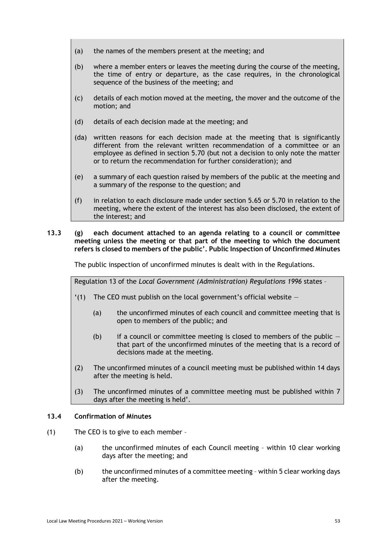- (a) the names of the members present at the meeting; and
- (b) where a member enters or leaves the meeting during the course of the meeting, the time of entry or departure, as the case requires, in the chronological sequence of the business of the meeting; and
- (c) details of each motion moved at the meeting, the mover and the outcome of the motion; and
- (d) details of each decision made at the meeting; and
- (da) written reasons for each decision made at the meeting that is significantly different from the relevant written recommendation of a committee or an employee as defined in section 5.70 (but not a decision to only note the matter or to return the recommendation for further consideration); and
- (e) a summary of each question raised by members of the public at the meeting and a summary of the response to the question; and
- (f) in relation to each disclosure made under section 5.65 or 5.70 in relation to the meeting, where the extent of the interest has also been disclosed, the extent of the interest; and

# <span id="page-52-0"></span>**13.3 (g) each document attached to an agenda relating to a council or committee meeting unless the meeting or that part of the meeting to which the document refers is closed to members of the public'. Public Inspection of Unconfirmed Minutes**

The public inspection of unconfirmed minutes is dealt with in the Regulations.

Regulation 13 of the *Local Government (Administration) Regulations 1996* states –

- $'(1)$  The CEO must publish on the local government's official website  $-$ 
	- (a) the unconfirmed minutes of each council and committee meeting that is open to members of the public; and
	- (b) if a council or committee meeting is closed to members of the public  $\cdot$ that part of the unconfirmed minutes of the meeting that is a record of decisions made at the meeting.
- (2) The unconfirmed minutes of a council meeting must be published within 14 days after the meeting is held.
- (3) The unconfirmed minutes of a committee meeting must be published within 7 days after the meeting is held'.

# <span id="page-52-1"></span>**13.4 Confirmation of Minutes**

- (1) The CEO is to give to each member
	- (a) the unconfirmed minutes of each Council meeting within 10 clear working days after the meeting; and
	- (b) the unconfirmed minutes of a committee meeting within 5 clear working days after the meeting.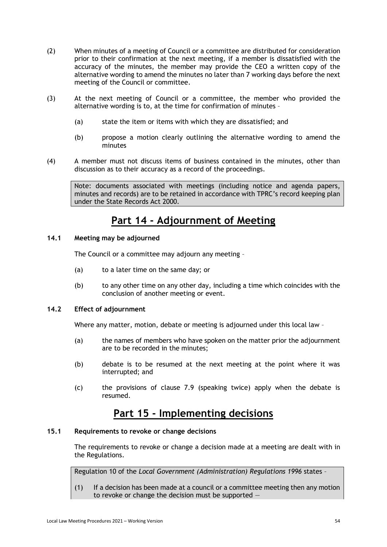- (2) When minutes of a meeting of Council or a committee are distributed for consideration prior to their confirmation at the next meeting, if a member is dissatisfied with the accuracy of the minutes, the member may provide the CEO a written copy of the alternative wording to amend the minutes no later than 7 working days before the next meeting of the Council or committee.
- (3) At the next meeting of Council or a committee, the member who provided the alternative wording is to, at the time for confirmation of minutes –
	- (a) state the item or items with which they are dissatisfied; and
	- (b) propose a motion clearly outlining the alternative wording to amend the minutes
- (4) A member must not discuss items of business contained in the minutes, other than discussion as to their accuracy as a record of the proceedings.

Note: documents associated with meetings (including notice and agenda papers, minutes and records) are to be retained in accordance with TPRC's record keeping plan under the State Records Act 2000.

# **Part 14 - Adjournment of Meeting**

# <span id="page-53-1"></span><span id="page-53-0"></span>**14.1 Meeting may be adjourned**

The Council or a committee may adjourn any meeting –

- (a) to a later time on the same day; or
- (b) to any other time on any other day, including a time which coincides with the conclusion of another meeting or event.

# <span id="page-53-2"></span>**14.2 Effect of adjournment**

Where any matter, motion, debate or meeting is adjourned under this local law –

- (a) the names of members who have spoken on the matter prior the adjournment are to be recorded in the minutes;
- (b) debate is to be resumed at the next meeting at the point where it was interrupted; and
- (c) the provisions of clause 7.9 (speaking twice) apply when the debate is resumed.

# **Part 15 - Implementing decisions**

# <span id="page-53-4"></span><span id="page-53-3"></span>**15.1 Requirements to revoke or change decisions**

The requirements to revoke or change a decision made at a meeting are dealt with in the Regulations.

Regulation 10 of the *Local Government (Administration) Regulations 1996* states –

(1) If a decision has been made at a council or a committee meeting then any motion to revoke or change the decision must be supported —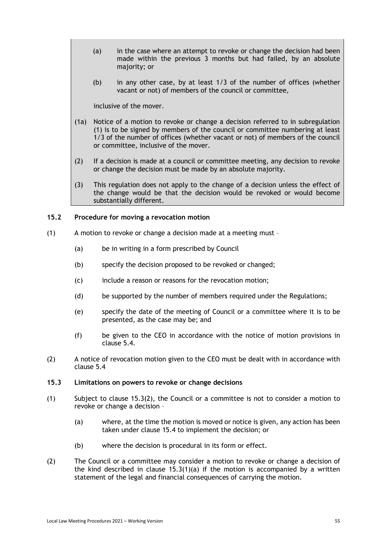- (a) in the case where an attempt to revoke or change the decision had been made within the previous 3 months but had failed, by an absolute majority; or
- (b) in any other case, by at least 1/3 of the number of offices (whether vacant or not) of members of the council or committee,

inclusive of the mover.

- (1a) Notice of a motion to revoke or change a decision referred to in subregulation (1) is to be signed by members of the council or committee numbering at least 1/3 of the number of offices (whether vacant or not) of members of the council or committee, inclusive of the mover.
- (2) If a decision is made at a council or committee meeting, any decision to revoke or change the decision must be made by an absolute majority.
- (3) This regulation does not apply to the change of a decision unless the effect of the change would be that the decision would be revoked or would become substantially different.

# <span id="page-54-0"></span>**15.2 Procedure for moving a revocation motion**

- (1) A motion to revoke or change a decision made at a meeting must
	- (a) be in writing in a form prescribed by Council
	- (b) specify the decision proposed to be revoked or changed;
	- (c) include a reason or reasons for the revocation motion;
	- (d) be supported by the number of members required under the Regulations;
	- (e) specify the date of the meeting of Council or a committee where it is to be presented, as the case may be; and
	- (f) be given to the CEO in accordance with the notice of motion provisions in clause 5.4.
- (2) A notice of revocation motion given to the CEO must be dealt with in accordance with clause 5.4

### <span id="page-54-1"></span>**15.3 Limitations on powers to revoke or change decisions**

- (1) Subject to clause 15.3(2), the Council or a committee is not to consider a motion to revoke or change a decision –
	- (a) where, at the time the motion is moved or notice is given, any action has been taken under clause 15.4 to implement the decision; or
	- (b) where the decision is procedural in its form or effect.
- (2) The Council or a committee may consider a motion to revoke or change a decision of the kind described in clause  $15.3(1)(a)$  if the motion is accompanied by a written statement of the legal and financial consequences of carrying the motion.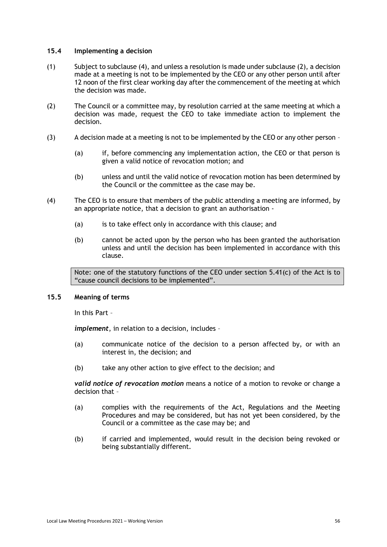# <span id="page-55-0"></span>**15.4 Implementing a decision**

- (1) Subject to subclause (4), and unless a resolution is made under subclause (2), a decision made at a meeting is not to be implemented by the CEO or any other person until after 12 noon of the first clear working day after the commencement of the meeting at which the decision was made.
- (2) The Council or a committee may, by resolution carried at the same meeting at which a decision was made, request the CEO to take immediate action to implement the decision.
- (3) A decision made at a meeting is not to be implemented by the CEO or any other person
	- (a) if, before commencing any implementation action, the CEO or that person is given a valid notice of revocation motion; and
	- (b) unless and until the valid notice of revocation motion has been determined by the Council or the committee as the case may be.
- (4) The CEO is to ensure that members of the public attending a meeting are informed, by an appropriate notice, that a decision to grant an authorisation -
	- (a) is to take effect only in accordance with this clause; and
	- (b) cannot be acted upon by the person who has been granted the authorisation unless and until the decision has been implemented in accordance with this clause.

Note: one of the statutory functions of the CEO under section 5.41(c) of the Act is to "cause council decisions to be implemented".

#### <span id="page-55-1"></span>**15.5 Meaning of terms**

In this Part –

*implement*, in relation to a decision, includes –

- (a) communicate notice of the decision to a person affected by, or with an interest in, the decision; and
- (b) take any other action to give effect to the decision; and

*valid notice of revocation motion* means a notice of a motion to revoke or change a decision that –

- (a) complies with the requirements of the Act, Regulations and the Meeting Procedures and may be considered, but has not yet been considered, by the Council or a committee as the case may be; and
- (b) if carried and implemented, would result in the decision being revoked or being substantially different.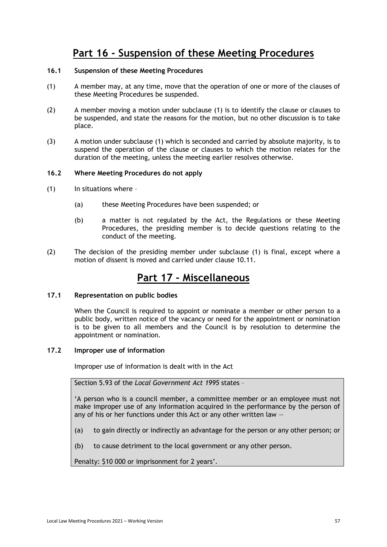# **Part 16 - Suspension of these Meeting Procedures**

# <span id="page-56-1"></span><span id="page-56-0"></span>**16.1 Suspension of these Meeting Procedures**

- (1) A member may, at any time, move that the operation of one or more of the clauses of these Meeting Procedures be suspended.
- (2) A member moving a motion under subclause (1) is to identify the clause or clauses to be suspended, and state the reasons for the motion, but no other discussion is to take place.
- (3) A motion under subclause (1) which is seconded and carried by absolute majority, is to suspend the operation of the clause or clauses to which the motion relates for the duration of the meeting, unless the meeting earlier resolves otherwise.

# <span id="page-56-2"></span>**16.2 Where Meeting Procedures do not apply**

- $(1)$  In situations where -
	- (a) these Meeting Procedures have been suspended; or
	- (b) a matter is not regulated by the Act, the Regulations or these Meeting Procedures, the presiding member is to decide questions relating to the conduct of the meeting.
- <span id="page-56-3"></span>(2) The decision of the presiding member under subclause (1) is final, except where a motion of dissent is moved and carried under clause 10.11.

# **Part 17 - Miscellaneous**

# <span id="page-56-4"></span>**17.1 Representation on public bodies**

When the Council is required to appoint or nominate a member or other person to a public body, written notice of the vacancy or need for the appointment or nomination is to be given to all members and the Council is by resolution to determine the appointment or nomination.

# <span id="page-56-5"></span>**17.2 Improper use of information**

Improper use of information is dealt with in the Act

Section 5.93 of the *Local Government Act 1995* states –

'A person who is a council member, a committee member or an employee must not make improper use of any information acquired in the performance by the person of any of his or her functions under this Act or any other written law  $-$ 

- (a) to gain directly or indirectly an advantage for the person or any other person; or
- (b) to cause detriment to the local government or any other person.

Penalty: \$10 000 or imprisonment for 2 years'.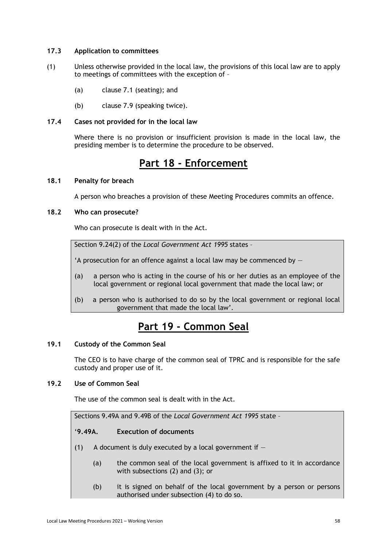# <span id="page-57-0"></span>**17.3 Application to committees**

- (1) Unless otherwise provided in the local law, the provisions of this local law are to apply to meetings of committees with the exception of –
	- (a) clause 7.1 (seating); and
	- (b) clause 7.9 (speaking twice).

# <span id="page-57-1"></span>**17.4 Cases not provided for in the local law**

Where there is no provision or insufficient provision is made in the local law, the presiding member is to determine the procedure to be observed.

# **Part 18 - Enforcement**

# <span id="page-57-3"></span><span id="page-57-2"></span>**18.1 Penalty for breach**

A person who breaches a provision of these Meeting Procedures commits an offence.

# <span id="page-57-4"></span>**18.2 Who can prosecute?**

Who can prosecute is dealt with in the Act.

Section 9.24(2) of the *Local Government Act 1995* states –

'A prosecution for an offence against a local law may be commenced by —

- (a) a person who is acting in the course of his or her duties as an employee of the local government or regional local government that made the local law; or
- (b) a person who is authorised to do so by the local government or regional local government that made the local law'.

# **Part 19 - Common Seal**

# <span id="page-57-6"></span><span id="page-57-5"></span>**19.1 Custody of the Common Seal**

The CEO is to have charge of the common seal of TPRC and is responsible for the safe custody and proper use of it.

# <span id="page-57-7"></span>**19.2 Use of Common Seal**

The use of the common seal is dealt with in the Act.

Sections 9.49A and 9.49B of the *Local Government Act 1995* state –

# '**9.49A. Execution of documents**

- (1) A document is duly executed by a local government if  $-$ 
	- (a) the common seal of the local government is affixed to it in accordance with subsections (2) and (3); or
	- (b) it is signed on behalf of the local government by a person or persons authorised under subsection (4) to do so.